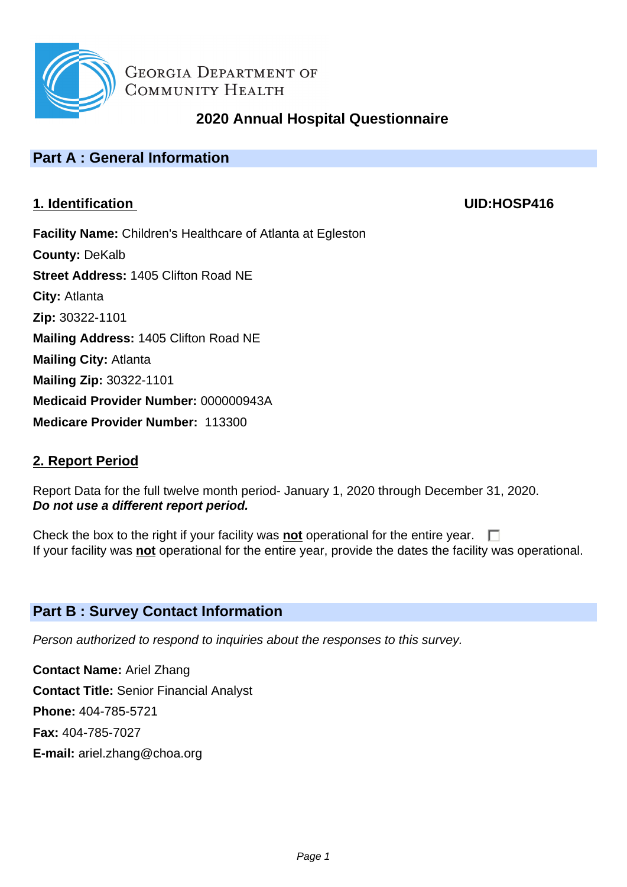

# **2020 Annual Hospital Questionnaire**

# **Part A : General Information**

# **1. Identification UID:HOSP416**

**Facility Name:** Children's Healthcare of Atlanta at Egleston **County:** DeKalb **Street Address:** 1405 Clifton Road NE **City:** Atlanta **Zip:** 30322-1101 **Mailing Address:** 1405 Clifton Road NE **Mailing City:** Atlanta **Mailing Zip:** 30322-1101 **Medicaid Provider Number:** 000000943A **Medicare Provider Number:** 113300

# **2. Report Period**

Report Data for the full twelve month period- January 1, 2020 through December 31, 2020. **Do not use a different report period.**

Check the box to the right if your facility was **not** operational for the entire year.  $\Box$ If your facility was **not** operational for the entire year, provide the dates the facility was operational.

# **Part B : Survey Contact Information**

Person authorized to respond to inquiries about the responses to this survey.

**Contact Name:** Ariel Zhang **Contact Title:** Senior Financial Analyst **Phone:** 404-785-5721 **Fax:** 404-785-7027 **E-mail:** ariel.zhang@choa.org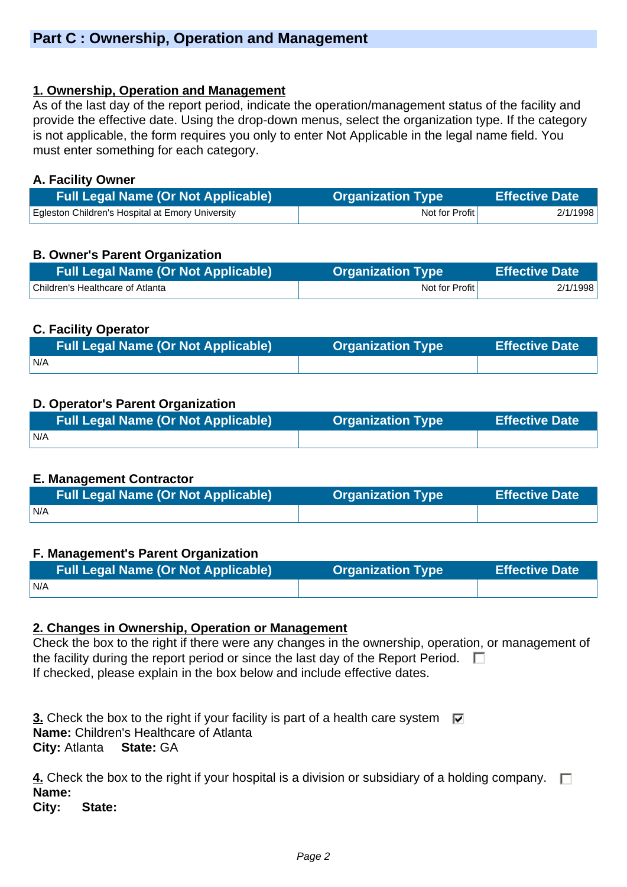### **1. Ownership, Operation and Management**

As of the last day of the report period, indicate the operation/management status of the facility and provide the effective date. Using the drop-down menus, select the organization type. If the category is not applicable, the form requires you only to enter Not Applicable in the legal name field. You must enter something for each category.

#### **A. Facility Owner**

| <b>Full Legal Name (Or Not Applicable)</b>       | <b>Organization Type</b> | <b>Effective Date</b> |
|--------------------------------------------------|--------------------------|-----------------------|
| Eqleston Children's Hospital at Emory University | Not for Profit           | 2/1/1998              |

# **B. Owner's Parent Organization**

| <b>Full Legal Name (Or Not Applicable)</b> | <b>Organization Type</b> | <b>Effective Date</b> |
|--------------------------------------------|--------------------------|-----------------------|
| Children's Healthcare of Atlanta           | Not for Profit           | 2/1/1998              |

### **C. Facility Operator**

| <b>Full Legal Name (Or Not Applicable)</b> | <b>Organization Type</b> | <b>Effective Date</b> |
|--------------------------------------------|--------------------------|-----------------------|
| N/A                                        |                          |                       |

# **D. Operator's Parent Organization**

|     | <b>Organization Type</b> | <b>Effective Date</b> |
|-----|--------------------------|-----------------------|
| N/A |                          |                       |

# **E. Management Contractor**

| <b>Full Legal Name (Or Not Applicable)</b> | <b>Organization Type</b> | <b>Effective Date</b> |
|--------------------------------------------|--------------------------|-----------------------|
| IN/A                                       |                          |                       |

#### **F. Management's Parent Organization**

| <b>Full Legal Name (Or Not Applicable)</b> | <b>Organization Type</b> | <b>Effective Date</b> |
|--------------------------------------------|--------------------------|-----------------------|
| N/A                                        |                          |                       |

#### **2. Changes in Ownership, Operation or Management**

Check the box to the right if there were any changes in the ownership, operation, or management of the facility during the report period or since the last day of the Report Period.  $\Box$ If checked, please explain in the box below and include effective dates.

**3.** Check the box to the right if your facility is part of a health care system  $\overline{\mathbf{v}}$ **Name:** Children's Healthcare of Atlanta **City:** Atlanta **State:** GA

**4.** Check the box to the right if your hospital is a division or subsidiary of a holding company.  $\Box$ **Name: City: State:**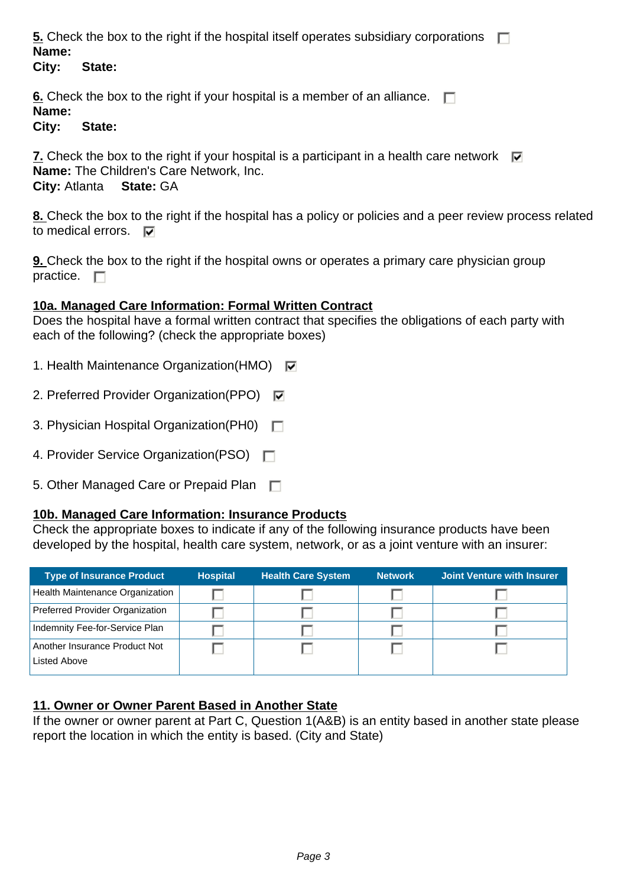**5.** Check the box to the right if the hospital itself operates subsidiary corporations  $\Box$ **Name:** 

**City: State:** 

**<u>6.</u>** Check the box to the right if your hospital is a member of an alliance.  $\Box$ **Name:** 

**City: State:** 

**7.** Check the box to the right if your hospital is a participant in a health care network  $\overline{M}$ **Name:** The Children's Care Network, Inc. **City:** Atlanta **State:** GA

**8.** Check the box to the right if the hospital has a policy or policies and a peer review process related to medical errors.  $\nabla$ 

**9.** Check the box to the right if the hospital owns or operates a primary care physician group practice.  $\Box$ 

#### **10a. Managed Care Information: Formal Written Contract**

Does the hospital have a formal written contract that specifies the obligations of each party with each of the following? (check the appropriate boxes)

- 1. Health Maintenance Organization(HMO)  $\overline{M}$
- 2. Preferred Provider Organization(PPO)
- 3. Physician Hospital Organization(PH0)
- 4. Provider Service Organization(PSO)
- 5. Other Managed Care or Prepaid Plan

#### **10b. Managed Care Information: Insurance Products**

Check the appropriate boxes to indicate if any of the following insurance products have been developed by the hospital, health care system, network, or as a joint venture with an insurer:

| <b>Type of Insurance Product</b> | <b>Hospital</b> | <b>Health Care System</b> | <b>Network</b> | Joint Venture with Insurer |
|----------------------------------|-----------------|---------------------------|----------------|----------------------------|
| Health Maintenance Organization  |                 |                           |                |                            |
| Preferred Provider Organization  |                 |                           |                |                            |
| Indemnity Fee-for-Service Plan   |                 |                           |                |                            |
| Another Insurance Product Not    |                 |                           |                |                            |
| Listed Above                     |                 |                           |                |                            |

#### **11. Owner or Owner Parent Based in Another State**

If the owner or owner parent at Part C, Question 1(A&B) is an entity based in another state please report the location in which the entity is based. (City and State)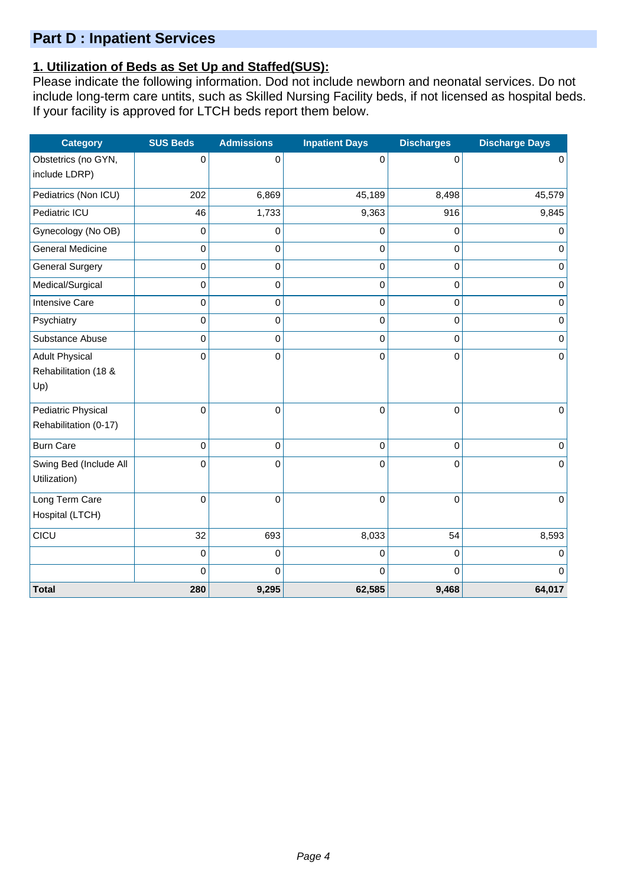# **Part D : Inpatient Services**

# **1. Utilization of Beds as Set Up and Staffed(SUS):**

Please indicate the following information. Dod not include newborn and neonatal services. Do not include long-term care untits, such as Skilled Nursing Facility beds, if not licensed as hospital beds. If your facility is approved for LTCH beds report them below.

| <b>Category</b>         | <b>SUS Beds</b> | <b>Admissions</b> | <b>Inpatient Days</b> | <b>Discharges</b> | <b>Discharge Days</b> |
|-------------------------|-----------------|-------------------|-----------------------|-------------------|-----------------------|
| Obstetrics (no GYN,     | $\mathbf 0$     | 0                 | 0                     | 0                 | 0                     |
| include LDRP)           |                 |                   |                       |                   |                       |
| Pediatrics (Non ICU)    | 202             | 6,869             | 45,189                | 8,498             | 45,579                |
| Pediatric ICU           | 46              | 1,733             | 9,363                 | 916               | 9,845                 |
| Gynecology (No OB)      | $\mathbf 0$     | 0                 | 0                     | $\mathbf 0$       | $\Omega$              |
| <b>General Medicine</b> | 0               | $\pmb{0}$         | 0                     | $\mathbf 0$       | $\mathbf 0$           |
| <b>General Surgery</b>  | 0               | $\pmb{0}$         | 0                     | $\mathbf 0$       | 0                     |
| Medical/Surgical        | 0               | $\mathbf 0$       | 0                     | 0                 | 0                     |
| <b>Intensive Care</b>   | 0               | 0                 | 0                     | $\mathbf 0$       | $\mathbf 0$           |
| Psychiatry              | $\mathbf 0$     | $\pmb{0}$         | 0                     | $\mathbf 0$       | $\mathbf 0$           |
| Substance Abuse         | $\mathbf 0$     | 0                 | 0                     | $\mathbf 0$       | $\mathbf 0$           |
| <b>Adult Physical</b>   | 0               | 0                 | 0                     | $\Omega$          | $\mathbf 0$           |
| Rehabilitation (18 &    |                 |                   |                       |                   |                       |
| Up)                     |                 |                   |                       |                   |                       |
| Pediatric Physical      | 0               | $\mathbf 0$       | 0                     | $\Omega$          | $\Omega$              |
| Rehabilitation (0-17)   |                 |                   |                       |                   |                       |
| <b>Burn Care</b>        | 0               | 0                 | 0                     | $\mathbf 0$       | $\mathbf 0$           |
| Swing Bed (Include All  | 0               | 0                 | 0                     | $\mathbf 0$       | 0                     |
| Utilization)            |                 |                   |                       |                   |                       |
| Long Term Care          | $\mathbf 0$     | $\mathbf 0$       | 0                     | $\mathbf 0$       | $\mathbf 0$           |
| Hospital (LTCH)         |                 |                   |                       |                   |                       |
| CICU                    | 32              | 693               | 8,033                 | 54                | 8,593                 |
|                         | 0               | $\pmb{0}$         | 0                     | $\mathbf 0$       | $\Omega$              |
|                         | 0               | 0                 | $\Omega$              | $\Omega$          | $\Omega$              |
| <b>Total</b>            | 280             | 9,295             | 62,585                | 9,468             | 64,017                |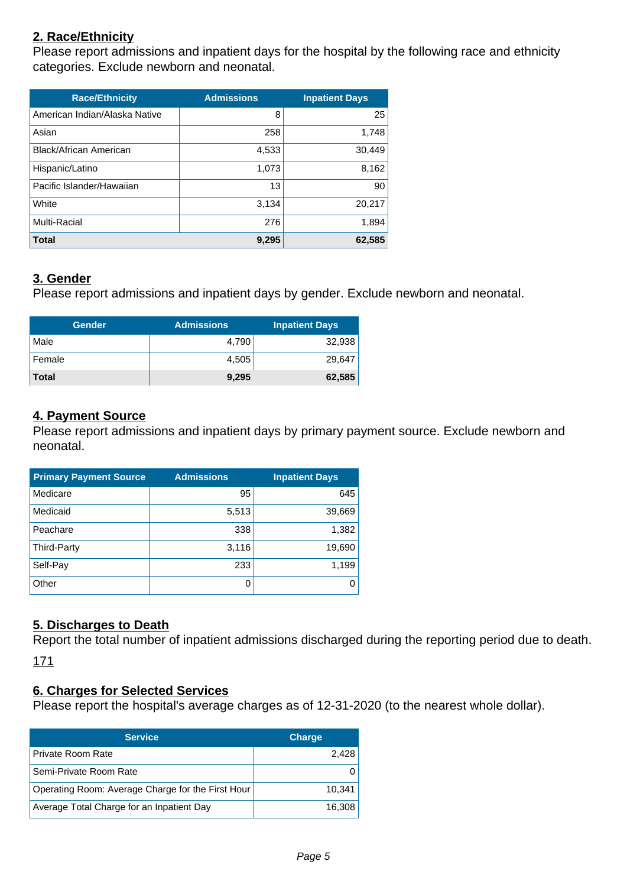# **2. Race/Ethnicity**

Please report admissions and inpatient days for the hospital by the following race and ethnicity categories. Exclude newborn and neonatal.

| <b>Race/Ethnicity</b>         | <b>Admissions</b> | <b>Inpatient Days</b> |
|-------------------------------|-------------------|-----------------------|
| American Indian/Alaska Native | 8                 | 25                    |
| Asian                         | 258               | 1,748                 |
| Black/African American        | 4,533             | 30.449                |
| Hispanic/Latino               | 1,073             | 8,162                 |
| Pacific Islander/Hawaiian     | 13                | 90                    |
| White                         | 3,134             | 20,217                |
| Multi-Racial                  | 276               | 1,894                 |
| <b>Total</b>                  | 9,295             | 62,585                |

#### **3. Gender**

Please report admissions and inpatient days by gender. Exclude newborn and neonatal.

| <b>Gender</b> | <b>Admissions</b> | <b>Inpatient Days</b> |
|---------------|-------------------|-----------------------|
| Male          | 4,790             | 32,938                |
| Female        | 4,505             | 29,647                |
| <b>Total</b>  | 9,295             | 62,585                |

### **4. Payment Source**

Please report admissions and inpatient days by primary payment source. Exclude newborn and neonatal.

| <b>Primary Payment Source</b> | <b>Admissions</b> | <b>Inpatient Days</b> |
|-------------------------------|-------------------|-----------------------|
| Medicare                      | 95                | 645                   |
| Medicaid                      | 5,513             | 39,669                |
| Peachare                      | 338               | 1,382                 |
| Third-Party                   | 3,116             | 19,690                |
| Self-Pay                      | 233               | 1,199                 |
| Other                         | 0                 |                       |

# **5. Discharges to Death**

Report the total number of inpatient admissions discharged during the reporting period due to death. 171

#### **6. Charges for Selected Services**

Please report the hospital's average charges as of 12-31-2020 (to the nearest whole dollar).

| <b>Service</b>                                    | <b>Charge</b> |
|---------------------------------------------------|---------------|
| Private Room Rate                                 | 2,428         |
| Semi-Private Room Rate                            |               |
| Operating Room: Average Charge for the First Hour | 10,341        |
| Average Total Charge for an Inpatient Day         | 16.308        |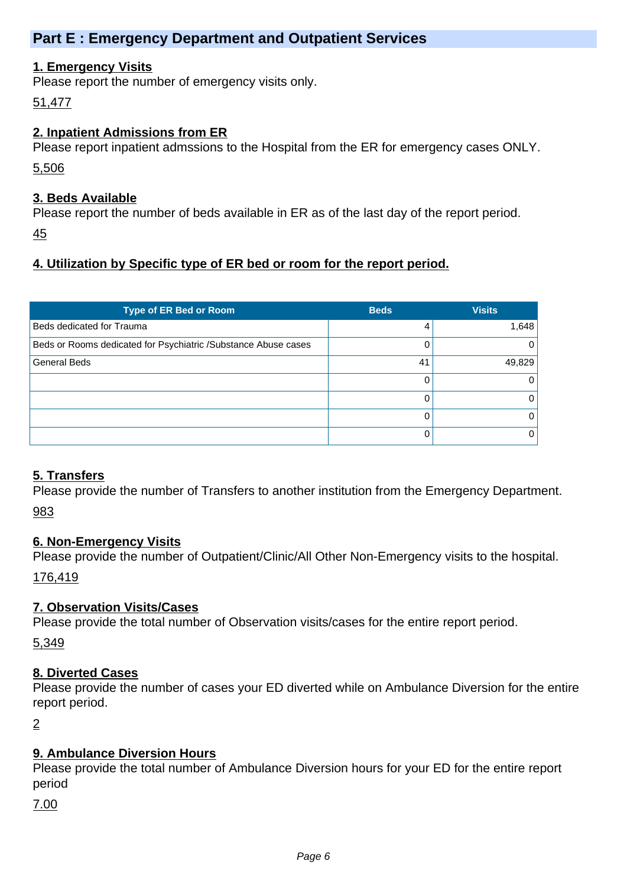# **Part E : Emergency Department and Outpatient Services**

### **1. Emergency Visits**

Please report the number of emergency visits only.

51,477

### **2. Inpatient Admissions from ER**

Please report inpatient admssions to the Hospital from the ER for emergency cases ONLY.

5,506

### **3. Beds Available**

Please report the number of beds available in ER as of the last day of the report period.

45

# **4. Utilization by Specific type of ER bed or room for the report period.**

| <b>Type of ER Bed or Room</b>                                  | <b>Beds</b> | <b>Visits</b> |
|----------------------------------------------------------------|-------------|---------------|
| Beds dedicated for Trauma                                      | 4           | 1,648         |
| Beds or Rooms dedicated for Psychiatric /Substance Abuse cases |             | 0             |
| <b>General Beds</b>                                            | 41          | 49,829        |
|                                                                |             | 0             |
|                                                                |             | 0             |
|                                                                |             | 0             |
|                                                                |             | 0             |

# **5. Transfers**

Please provide the number of Transfers to another institution from the Emergency Department. 983

# **6. Non-Emergency Visits**

Please provide the number of Outpatient/Clinic/All Other Non-Emergency visits to the hospital.

176,419

# **7. Observation Visits/Cases**

Please provide the total number of Observation visits/cases for the entire report period.

5,349

# **8. Diverted Cases**

Please provide the number of cases your ED diverted while on Ambulance Diversion for the entire report period.

2

# **9. Ambulance Diversion Hours**

Please provide the total number of Ambulance Diversion hours for your ED for the entire report period

7.00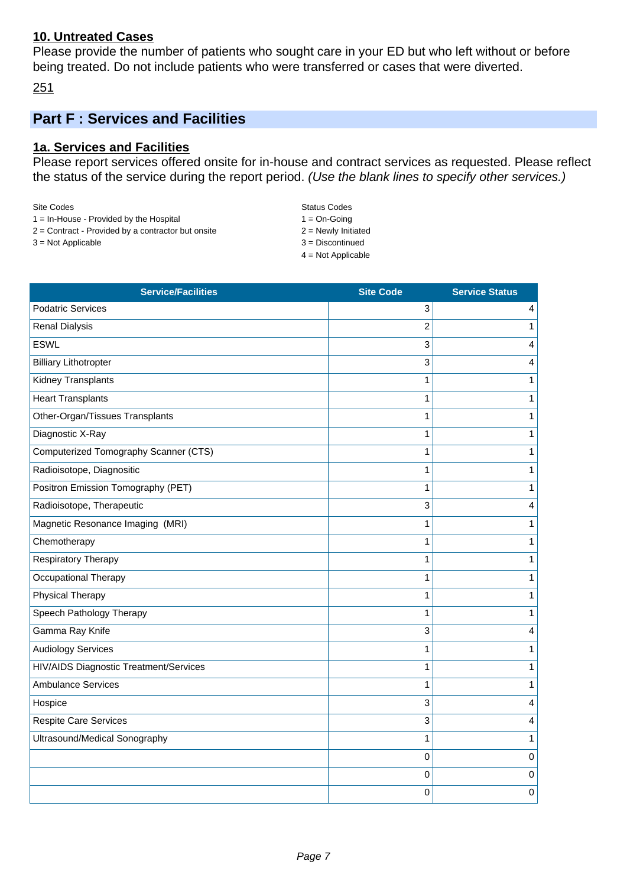#### **10. Untreated Cases**

Please provide the number of patients who sought care in your ED but who left without or before being treated. Do not include patients who were transferred or cases that were diverted.

251

# **Part F : Services and Facilities**

# **1a. Services and Facilities**

Please report services offered onsite for in-house and contract services as requested. Please reflect the status of the service during the report period. (Use the blank lines to specify other services.)

| Site Codes |                                                   |
|------------|---------------------------------------------------|
|            | $1 - \ln$ House $\Gamma$ Drovided by the Hospital |

- 1 = In-House Provided by the Hospital 1 = On-Going  $2 =$  Contract - Provided by a contractor but onsite  $2 =$  Newly Initiated
- $3 = Not Applied$
- 

Status Codes

4 = Not Applicable

| <b>Service/Facilities</b>              | <b>Site Code</b> | <b>Service Status</b> |
|----------------------------------------|------------------|-----------------------|
| <b>Podatric Services</b>               | 3                | 4                     |
| <b>Renal Dialysis</b>                  | $\overline{2}$   | $\mathbf{1}$          |
| <b>ESWL</b>                            | 3                | 4                     |
| <b>Billiary Lithotropter</b>           | 3                | 4                     |
| Kidney Transplants                     | $\mathbf{1}$     | $\mathbf{1}$          |
| <b>Heart Transplants</b>               | 1                | 1                     |
| Other-Organ/Tissues Transplants        | $\mathbf{1}$     | $\mathbf{1}$          |
| Diagnostic X-Ray                       | $\mathbf{1}$     | $\mathbf{1}$          |
| Computerized Tomography Scanner (CTS)  | $\mathbf{1}$     | $\mathbf{1}$          |
| Radioisotope, Diagnositic              | $\mathbf{1}$     | $\mathbf{1}$          |
| Positron Emission Tomography (PET)     | $\mathbf{1}$     | 1                     |
| Radioisotope, Therapeutic              | 3                | 4                     |
| Magnetic Resonance Imaging (MRI)       | 1                | $\mathbf{1}$          |
| Chemotherapy                           | $\mathbf{1}$     | $\mathbf{1}$          |
| Respiratory Therapy                    | $\mathbf{1}$     | $\mathbf{1}$          |
| Occupational Therapy                   | $\mathbf{1}$     | $\mathbf{1}$          |
| Physical Therapy                       | $\mathbf{1}$     | $\mathbf{1}$          |
| Speech Pathology Therapy               | $\mathbf{1}$     | $\mathbf{1}$          |
| Gamma Ray Knife                        | 3                | 4                     |
| <b>Audiology Services</b>              | $\mathbf{1}$     | 1                     |
| HIV/AIDS Diagnostic Treatment/Services | $\mathbf{1}$     | $\mathbf{1}$          |
| <b>Ambulance Services</b>              | $\mathbf{1}$     | $\mathbf{1}$          |
| Hospice                                | 3                | 4                     |
| <b>Respite Care Services</b>           | 3                | 4                     |
| Ultrasound/Medical Sonography          | 1                | 1                     |
|                                        | $\mathbf 0$      | 0                     |
|                                        | $\pmb{0}$        | $\pmb{0}$             |
|                                        | $\mathbf 0$      | $\mathbf 0$           |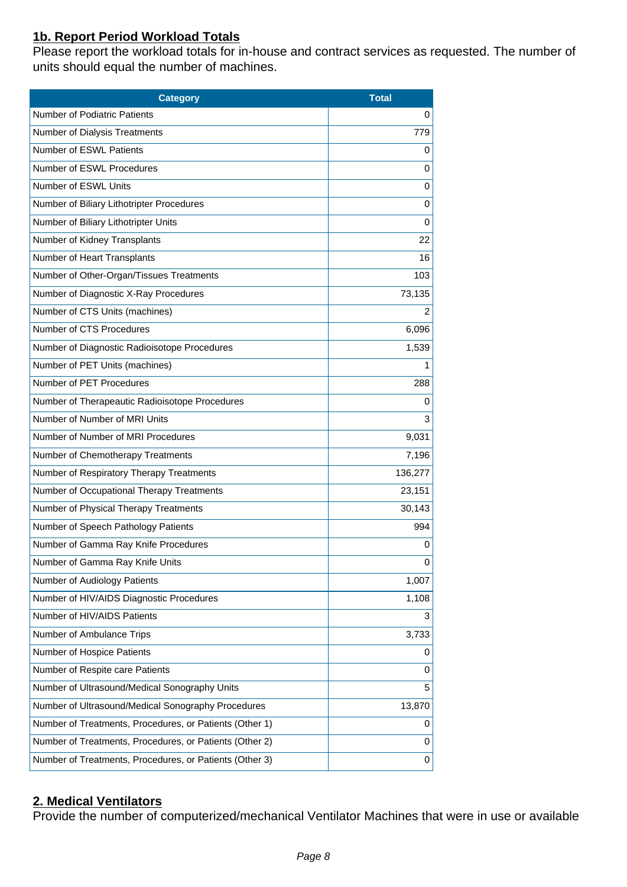# **1b. Report Period Workload Totals**

Please report the workload totals for in-house and contract services as requested. The number of units should equal the number of machines.

| <b>Category</b>                                         | <b>Total</b> |
|---------------------------------------------------------|--------------|
| <b>Number of Podiatric Patients</b>                     | 0            |
| Number of Dialysis Treatments                           | 779          |
| Number of ESWL Patients                                 | 0            |
| Number of ESWL Procedures                               | 0            |
| Number of ESWL Units                                    | 0            |
| Number of Biliary Lithotripter Procedures               | 0            |
| Number of Biliary Lithotripter Units                    | 0            |
| Number of Kidney Transplants                            | 22           |
| Number of Heart Transplants                             | 16           |
| Number of Other-Organ/Tissues Treatments                | 103          |
| Number of Diagnostic X-Ray Procedures                   | 73,135       |
| Number of CTS Units (machines)                          | 2            |
| Number of CTS Procedures                                | 6,096        |
| Number of Diagnostic Radioisotope Procedures            | 1,539        |
| Number of PET Units (machines)                          | 1            |
| Number of PET Procedures                                | 288          |
| Number of Therapeautic Radioisotope Procedures          | 0            |
| Number of Number of MRI Units                           | 3            |
| Number of Number of MRI Procedures                      | 9,031        |
| Number of Chemotherapy Treatments                       | 7,196        |
| Number of Respiratory Therapy Treatments                | 136,277      |
| Number of Occupational Therapy Treatments               | 23,151       |
| Number of Physical Therapy Treatments                   | 30,143       |
| Number of Speech Pathology Patients                     | 994          |
| Number of Gamma Ray Knife Procedures                    | 0            |
| Number of Gamma Ray Knife Units                         | 0            |
| Number of Audiology Patients                            | 1,007        |
| Number of HIV/AIDS Diagnostic Procedures                | 1,108        |
| Number of HIV/AIDS Patients                             | 3            |
| Number of Ambulance Trips                               | 3,733        |
| Number of Hospice Patients                              | 0            |
| Number of Respite care Patients                         | 0            |
| Number of Ultrasound/Medical Sonography Units           | 5            |
| Number of Ultrasound/Medical Sonography Procedures      | 13,870       |
| Number of Treatments, Procedures, or Patients (Other 1) | 0            |
| Number of Treatments, Procedures, or Patients (Other 2) | 0            |
| Number of Treatments, Procedures, or Patients (Other 3) | 0            |

# **2. Medical Ventilators**

Provide the number of computerized/mechanical Ventilator Machines that were in use or available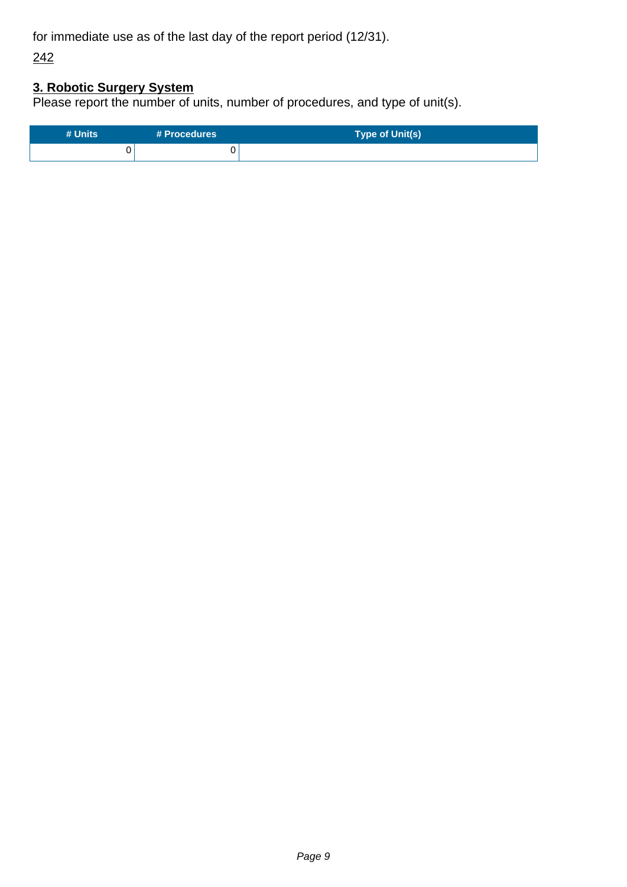for immediate use as of the last day of the report period (12/31).

242

# **3. Robotic Surgery System**

Please report the number of units, number of procedures, and type of unit(s).

| # Units | # Procedures | Type of Unit(s) |
|---------|--------------|-----------------|
|         |              |                 |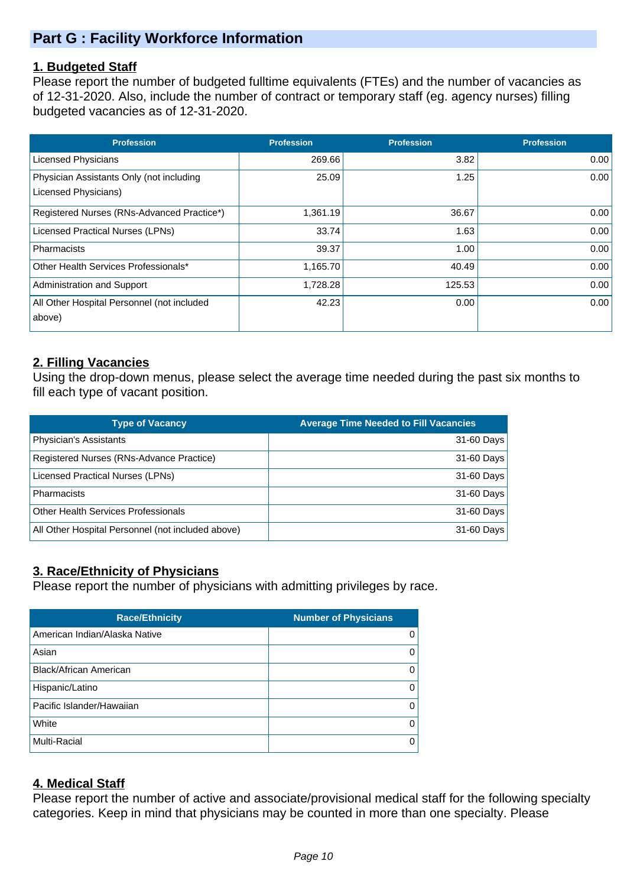# **Part G : Facility Workforce Information**

### **1. Budgeted Staff**

Please report the number of budgeted fulltime equivalents (FTEs) and the number of vacancies as of 12-31-2020. Also, include the number of contract or temporary staff (eg. agency nurses) filling budgeted vacancies as of 12-31-2020.

| <b>Profession</b>                          | <b>Profession</b> | <b>Profession</b> | <b>Profession</b> |
|--------------------------------------------|-------------------|-------------------|-------------------|
| <b>Licensed Physicians</b>                 | 269.66            | 3.82              | 0.00              |
| Physician Assistants Only (not including   | 25.09             | 1.25              | 0.00              |
| Licensed Physicians)                       |                   |                   |                   |
| Registered Nurses (RNs-Advanced Practice*) | 1,361.19          | 36.67             | 0.00              |
| Licensed Practical Nurses (LPNs)           | 33.74             | 1.63              | 0.00              |
| <b>Pharmacists</b>                         | 39.37             | 1.00              | 0.00              |
| Other Health Services Professionals*       | 1,165.70          | 40.49             | 0.00              |
| Administration and Support                 | 1,728.28          | 125.53            | 0.00              |
| All Other Hospital Personnel (not included | 42.23             | 0.00              | 0.00              |
| above)                                     |                   |                   |                   |

# **2. Filling Vacancies**

Using the drop-down menus, please select the average time needed during the past six months to fill each type of vacant position.

| <b>Type of Vacancy</b>                            | <b>Average Time Needed to Fill Vacancies</b> |
|---------------------------------------------------|----------------------------------------------|
| Physician's Assistants                            | 31-60 Days                                   |
| Registered Nurses (RNs-Advance Practice)          | 31-60 Days                                   |
| Licensed Practical Nurses (LPNs)                  | 31-60 Days                                   |
| Pharmacists                                       | 31-60 Days                                   |
| <b>Other Health Services Professionals</b>        | 31-60 Days                                   |
| All Other Hospital Personnel (not included above) | 31-60 Days                                   |

# **3. Race/Ethnicity of Physicians**

Please report the number of physicians with admitting privileges by race.

| <b>Race/Ethnicity</b>         | <b>Number of Physicians</b> |
|-------------------------------|-----------------------------|
| American Indian/Alaska Native | 0                           |
| Asian                         | 0                           |
| <b>Black/African American</b> | 0                           |
| Hispanic/Latino               | 0                           |
| Pacific Islander/Hawaiian     | 0                           |
| White                         | 0                           |
| Multi-Racial                  | 0                           |

# **4. Medical Staff**

Please report the number of active and associate/provisional medical staff for the following specialty categories. Keep in mind that physicians may be counted in more than one specialty. Please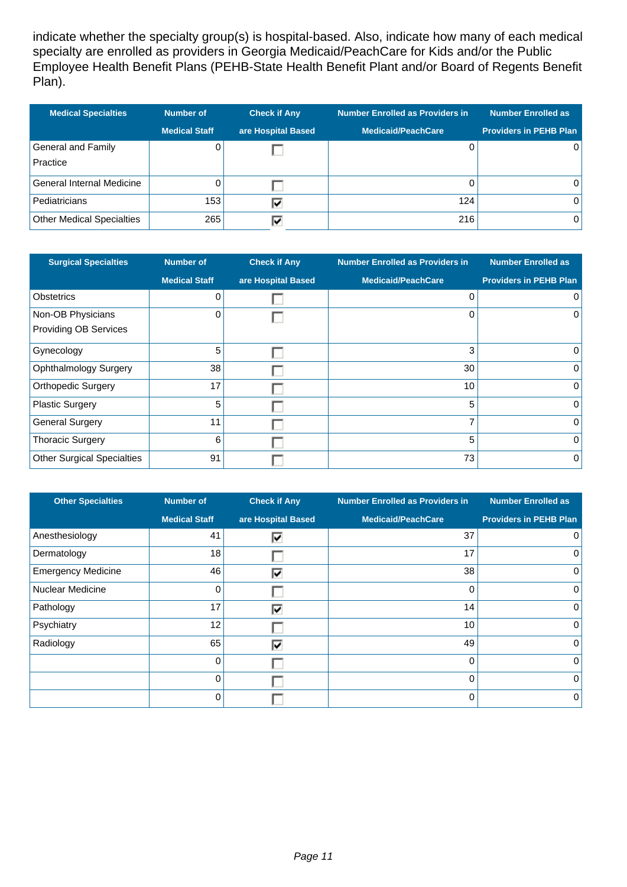indicate whether the specialty group(s) is hospital-based. Also, indicate how many of each medical specialty are enrolled as providers in Georgia Medicaid/PeachCare for Kids and/or the Public Employee Health Benefit Plans (PEHB-State Health Benefit Plant and/or Board of Regents Benefit Plan).

| <b>Medical Specialties</b>       | <b>Number of</b>     | <b>Check if Any</b> | <b>Number Enrolled as Providers in</b> | <b>Number Enrolled as</b>     |
|----------------------------------|----------------------|---------------------|----------------------------------------|-------------------------------|
|                                  | <b>Medical Staff</b> | are Hospital Based  | <b>Medicaid/PeachCare</b>              | <b>Providers in PEHB Plan</b> |
| General and Family               |                      |                     |                                        |                               |
| Practice                         |                      |                     |                                        |                               |
| General Internal Medicine        |                      |                     |                                        |                               |
| Pediatricians                    | 153                  | ⊽                   | 124                                    | 0                             |
| <b>Other Medical Specialties</b> | 265                  |                     | 216                                    | 0                             |

| <b>Surgical Specialties</b>       | <b>Number of</b>     | <b>Check if Any</b> | <b>Number Enrolled as Providers in</b> | <b>Number Enrolled as</b>     |
|-----------------------------------|----------------------|---------------------|----------------------------------------|-------------------------------|
|                                   | <b>Medical Staff</b> | are Hospital Based  | <b>Medicaid/PeachCare</b>              | <b>Providers in PEHB Plan</b> |
| <b>Obstetrics</b>                 | 0                    |                     | 0                                      | $\overline{0}$                |
| Non-OB Physicians                 | 0                    |                     | 0                                      | $\overline{0}$                |
| <b>Providing OB Services</b>      |                      |                     |                                        |                               |
| Gynecology                        | 5                    |                     | 3                                      | $\overline{0}$                |
| <b>Ophthalmology Surgery</b>      | 38                   |                     | 30                                     | $\overline{0}$                |
| <b>Orthopedic Surgery</b>         | 17                   |                     | 10                                     | $\overline{0}$                |
| <b>Plastic Surgery</b>            | 5                    |                     | 5                                      | $\overline{0}$                |
| <b>General Surgery</b>            | 11                   |                     | 7                                      | $\overline{0}$                |
| <b>Thoracic Surgery</b>           | 6                    |                     | 5                                      | $\overline{0}$                |
| <b>Other Surgical Specialties</b> | 91                   |                     | 73                                     | $\overline{0}$                |

| <b>Other Specialties</b>  | <b>Number of</b>     | <b>Check if Any</b> | <b>Number Enrolled as Providers in</b> | <b>Number Enrolled as</b>     |
|---------------------------|----------------------|---------------------|----------------------------------------|-------------------------------|
|                           | <b>Medical Staff</b> | are Hospital Based  | <b>Medicaid/PeachCare</b>              | <b>Providers in PEHB Plan</b> |
| Anesthesiology            | 41                   | ⊽                   | 37                                     | $\Omega$                      |
| Dermatology               | 18                   |                     | 17                                     | 0                             |
| <b>Emergency Medicine</b> | 46                   | ঢ়                  | 38                                     | $\mathbf 0$                   |
| <b>Nuclear Medicine</b>   | 0                    |                     | 0                                      | 0                             |
| Pathology                 | 17                   | ⊽                   | 14                                     | 0                             |
| Psychiatry                | 12                   |                     | 10 <sup>1</sup>                        | 0                             |
| Radiology                 | 65                   | ⊽                   | 49                                     | $\mathbf 0$                   |
|                           | 0                    |                     | 0                                      | $\mathbf 0$                   |
|                           | 0                    |                     | 0                                      | $\Omega$                      |
|                           | U                    |                     | $\Omega$                               | $\mathbf 0$                   |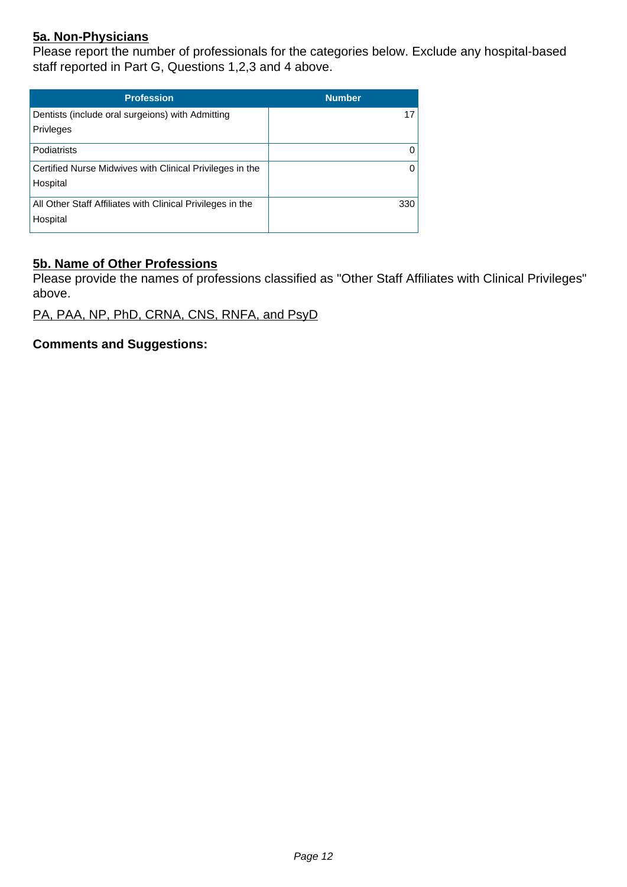# **5a. Non-Physicians**

Please report the number of professionals for the categories below. Exclude any hospital-based staff reported in Part G, Questions 1,2,3 and 4 above.

| <b>Profession</b>                                                      | <b>Number</b> |
|------------------------------------------------------------------------|---------------|
| Dentists (include oral surgeions) with Admitting<br>Privleges          | 17            |
| Podiatrists                                                            | 0             |
| Certified Nurse Midwives with Clinical Privileges in the<br>Hospital   | 0             |
| All Other Staff Affiliates with Clinical Privileges in the<br>Hospital | 330           |

### **5b. Name of Other Professions**

Please provide the names of professions classified as "Other Staff Affiliates with Clinical Privileges" above.

PA, PAA, NP, PhD, CRNA, CNS, RNFA, and PsyD

**Comments and Suggestions:**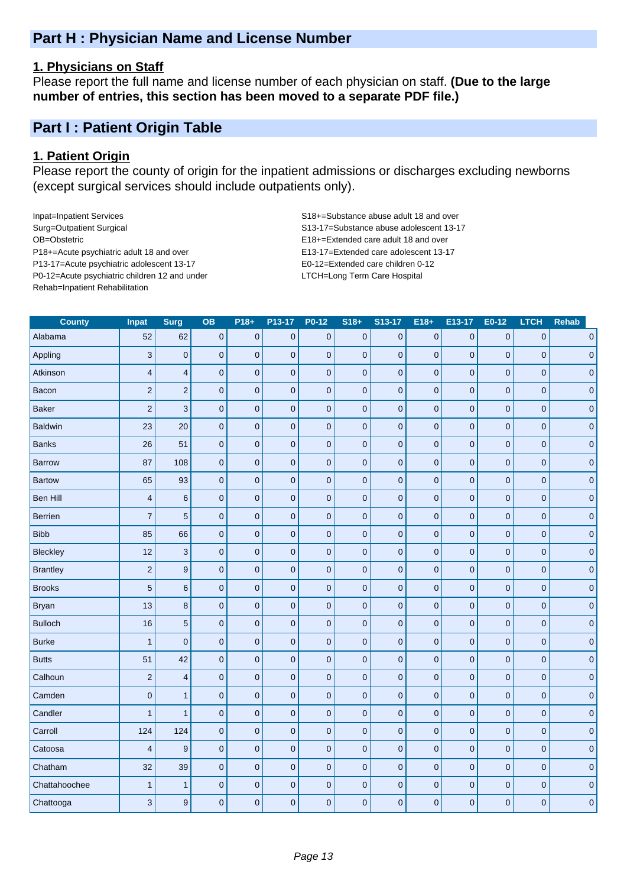# **Part H : Physician Name and License Number**

#### **1. Physicians on Staff**

Please report the full name and license number of each physician on staff. **(Due to the large number of entries, this section has been moved to a separate PDF file.)**

# **Part I : Patient Origin Table**

#### **1. Patient Origin**

Please report the county of origin for the inpatient admissions or discharges excluding newborns (except surgical services should include outpatients only).

Inpat=Inpatient Services S18+=Substance abuse adult 18 and over Surg=Outpatient Surgical S13-17=Substance abuse adolescent 13-17 OB=Obstetric E18+=Extended care adult 18 and over P18+=Acute psychiatric adult 18 and over E13-17=Extended care adolescent 13-17 P13-17=Acute psychiatric adolescent 13-17 E0-12=Extended care children 0-12 P0-12=Acute psychiatric children 12 and under LTCH=Long Term Care Hospital Rehab=Inpatient Rehabilitation

| <b>County</b>   | Inpat                   | Surg                    | <b>OB</b>   | $P18+$              | P13-17      | P0-12       | $S18+$              | S13-17      | $E18+$         | E13-17      | E0-12          | <b>LTCH</b>    | <b>Rehab</b> |
|-----------------|-------------------------|-------------------------|-------------|---------------------|-------------|-------------|---------------------|-------------|----------------|-------------|----------------|----------------|--------------|
| Alabama         | 52                      | 62                      | $\pmb{0}$   | $\pmb{0}$           | $\pmb{0}$   | $\pmb{0}$   | $\pmb{0}$           | $\bf 0$     | $\pmb{0}$      | $\mathbf 0$ | $\bf 0$        | $\bf 0$        | $\pmb{0}$    |
| Appling         | $\mathbf{3}$            | $\pmb{0}$               | $\mathbf 0$ | $\mathbf 0$         | $\pmb{0}$   | $\mathbf 0$ | $\pmb{0}$           | $\mathbf 0$ | $\mathbf 0$    | 0           | $\mathbf 0$    | $\mathbf 0$    | $\pmb{0}$    |
| Atkinson        | $\overline{\mathbf{4}}$ | $\overline{\mathbf{4}}$ | $\mathbf 0$ | $\mathbf 0$         | $\pmb{0}$   | $\mathbf 0$ | $\pmb{0}$           | $\pmb{0}$   | $\mathbf 0$    | 0           | $\overline{0}$ | $\mathbf 0$    | $\pmb{0}$    |
| Bacon           | $\overline{2}$          | $\mathbf 2$             | $\mathbf 0$ | $\mathbf 0$         | $\pmb{0}$   | $\mathbf 0$ | $\mathsf{O}\xspace$ | $\mathbf 0$ | $\mathbf 0$    | $\pmb{0}$   | $\mathbf 0$    | $\mathbf 0$    | $\pmb{0}$    |
| <b>Baker</b>    | $\overline{c}$          | $\mathbf{3}$            | $\pmb{0}$   | $\pmb{0}$           | $\pmb{0}$   | $\pmb{0}$   | $\pmb{0}$           | $\mathbf 0$ | $\overline{0}$ | $\mathbf 0$ | $\mathbf 0$    | $\mathbf{0}$   | $\pmb{0}$    |
| <b>Baldwin</b>  | 23                      | 20                      | $\pmb{0}$   | $\mathbf 0$         | $\pmb{0}$   | $\mathbf 0$ | $\mathbf 0$         | $\pmb{0}$   | $\mathbf 0$    | 0           | $\mathbf 0$    | $\mathbf 0$    | $\pmb{0}$    |
| <b>Banks</b>    | 26                      | 51                      | $\mathbf 0$ | $\mathbf 0$         | $\mathbf 0$ | $\mathbf 0$ | $\mathsf{O}\xspace$ | $\mathbf 0$ | $\overline{0}$ | $\mathbf 0$ | $\overline{0}$ | $\overline{0}$ | $\pmb{0}$    |
| <b>Barrow</b>   | 87                      | 108                     | $\mathbf 0$ | $\mathsf{O}\xspace$ | $\pmb{0}$   | $\mathbf 0$ | $\mathsf{O}\xspace$ | $\pmb{0}$   | $\mathbf 0$    | 0           | $\overline{0}$ | $\mathbf 0$    | $\pmb{0}$    |
| <b>Bartow</b>   | 65                      | 93                      | $\mathbf 0$ | $\pmb{0}$           | $\pmb{0}$   | $\mathbf 0$ | $\pmb{0}$           | $\mathbf 0$ | $\mathbf 0$    | 0           | $\mathbf 0$    | $\mathbf 0$    | $\pmb{0}$    |
| Ben Hill        | $\overline{4}$          | $\,$ 6 $\,$             | $\mathbf 0$ | $\mathbf 0$         | $\pmb{0}$   | $\mathbf 0$ | $\mathbf 0$         | $\mathbf 0$ | $\mathbf 0$    | $\pmb{0}$   | $\overline{0}$ | $\mathbf 0$    | $\pmb{0}$    |
| Berrien         | $\overline{7}$          | $\overline{5}$          | $\mathbf 0$ | $\mathbf 0$         | $\pmb{0}$   | $\pmb{0}$   | $\mathsf 0$         | $\mathbf 0$ | $\mathbf 0$    | $\pmb{0}$   | $\mathbf 0$    | $\mathbf 0$    | $\pmb{0}$    |
| <b>Bibb</b>     | 85                      | 66                      | $\pmb{0}$   | $\pmb{0}$           | $\mathbf 0$ | $\pmb{0}$   | $\pmb{0}$           | $\pmb{0}$   | $\mathbf 0$    | $\mathbf 0$ | $\overline{0}$ | $\overline{0}$ | $\pmb{0}$    |
| <b>Bleckley</b> | 12                      | $\mathbf{3}$            | $\pmb{0}$   | $\mathbf 0$         | $\mathbf 0$ | $\pmb{0}$   | $\mathsf{O}\xspace$ | $\pmb{0}$   | $\overline{0}$ | 0           | $\overline{0}$ | $\mathbf 0$    | $\pmb{0}$    |
| <b>Brantley</b> | $\mathbf 2$             | $\boldsymbol{9}$        | $\pmb{0}$   | $\pmb{0}$           | $\pmb{0}$   | $\mathbf 0$ | $\pmb{0}$           | $\mathbf 0$ | $\mathbf 0$    | $\pmb{0}$   | $\mathbf 0$    | $\mathbf 0$    | $\pmb{0}$    |
| <b>Brooks</b>   | $\overline{5}$          | $\,6$                   | $\pmb{0}$   | $\pmb{0}$           | $\pmb{0}$   | $\mathbf 0$ | $\pmb{0}$           | $\pmb{0}$   | $\mathbf 0$    | 0           | $\overline{0}$ | $\mathbf 0$    | $\pmb{0}$    |
| <b>Bryan</b>    | 13                      | $\bf8$                  | $\mathbf 0$ | $\mathbf 0$         | $\pmb{0}$   | $\pmb{0}$   | $\mathsf 0$         | $\mathbf 0$ | $\mathbf 0$    | $\pmb{0}$   | $\mathbf 0$    | $\mathbf 0$    | $\pmb{0}$    |
| <b>Bulloch</b>  | 16                      | $\sqrt{5}$              | $\pmb{0}$   | $\mathbf 0$         | $\pmb{0}$   | $\mathbf 0$ | $\pmb{0}$           | $\mathbf 0$ | $\mathbf 0$    | 0           | $\overline{0}$ | $\mathbf 0$    | $\pmb{0}$    |
| <b>Burke</b>    | $\overline{1}$          | $\pmb{0}$               | $\pmb{0}$   | $\pmb{0}$           | $\mathbf 0$ | $\pmb{0}$   | $\mathsf{O}\xspace$ | $\pmb{0}$   | $\overline{0}$ | $\mathsf 0$ | $\overline{0}$ | $\mathbf 0$    | $\mathbf 0$  |
| <b>Butts</b>    | 51                      | 42                      | $\pmb{0}$   | $\mathbf 0$         | $\mathbf 0$ | $\pmb{0}$   | $\pmb{0}$           | $\pmb{0}$   | $\mathbf 0$    | $\pmb{0}$   | $\mathbf 0$    | $\overline{0}$ | $\mathbf 0$  |
| Calhoun         | $\sqrt{2}$              | $\overline{\mathbf{4}}$ | $\pmb{0}$   | $\mathbf 0$         | $\pmb{0}$   | $\pmb{0}$   | $\mathbf 0$         | $\pmb{0}$   | $\mathbf 0$    | $\pmb{0}$   | $\overline{0}$ | $\mathbf 0$    | $\pmb{0}$    |
| Camden          | $\mathbf 0$             | $\mathbf{1}$            | $\mathbf 0$ | $\mathbf 0$         | $\pmb{0}$   | $\pmb{0}$   | $\mathsf 0$         | $\mathbf 0$ | $\mathbf 0$    | $\pmb{0}$   | $\overline{0}$ | $\mathbf 0$    | $\pmb{0}$    |
| Candler         | $\overline{1}$          | $\mathbf{1}$            | $\mathbf 0$ | $\mathbf 0$         | $\mathbf 0$ | $\pmb{0}$   | $\pmb{0}$           | $\mathbf 0$ | $\mathbf 0$    | $\mathbf 0$ | $\overline{0}$ | $\overline{0}$ | $\pmb{0}$    |
| Carroll         | 124                     | 124                     | $\mathbf 0$ | $\mathbf 0$         | $\pmb{0}$   | $\mathbf 0$ | $\pmb{0}$           | $\pmb{0}$   | $\mathbf 0$    | 0           | $\overline{0}$ | $\mathbf 0$    | $\pmb{0}$    |
| Catoosa         | $\overline{4}$          | 9                       | $\pmb{0}$   | $\pmb{0}$           | $\mathbf 0$ | $\mathbf 0$ | $\mathsf{O}\xspace$ | $\mathbf 0$ | $\mathbf 0$    | $\mathbf 0$ | $\mathbf 0$    | $\mathbf 0$    | $\pmb{0}$    |
| Chatham         | 32                      | 39                      | $\mathbf 0$ | $\pmb{0}$           | $\pmb{0}$   | $\mathbf 0$ | $\mathsf{O}\xspace$ | $\pmb{0}$   | $\overline{0}$ | $\mathsf 0$ | $\overline{0}$ | $\overline{0}$ | $\mathbf 0$  |
| Chattahoochee   | $\mathbf{1}$            | $\mathbf{1}$            | $\pmb{0}$   | $\pmb{0}$           | $\pmb{0}$   | $\pmb{0}$   | $\pmb{0}$           | $\pmb{0}$   | $\mathbf 0$    | 0           | $\pmb{0}$      | $\bf 0$        | 0            |
| Chattooga       | 3                       | $\boldsymbol{9}$        | $\mathbf 0$ | $\mathbf 0$         | $\mathbf 0$ | $\pmb{0}$   | $\mathbf 0$         | $\mathbf 0$ | $\overline{0}$ | 0           | $\overline{0}$ | $\mathbf 0$    | $\pmb{0}$    |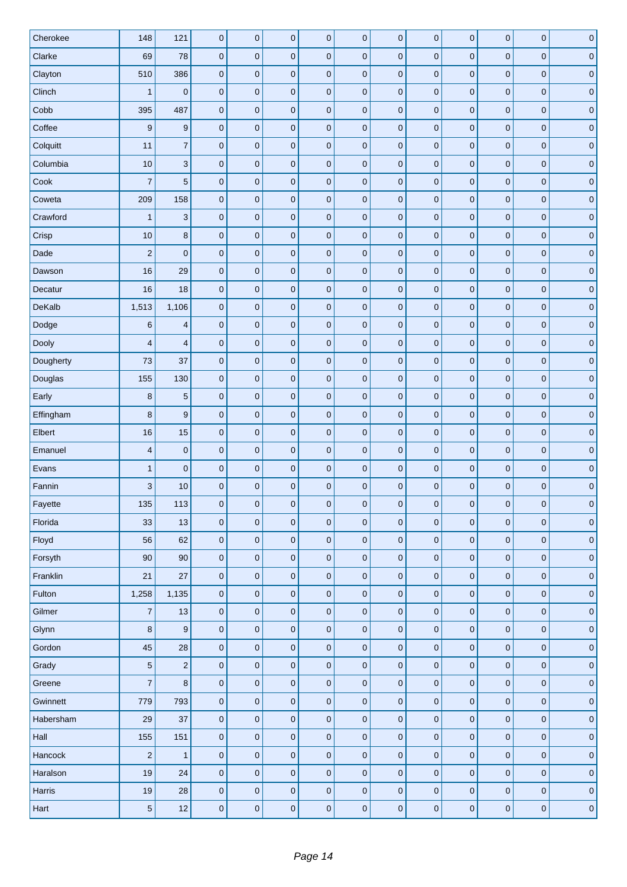| Cherokee  | 148                     | 121                       | $\pmb{0}$        | $\pmb{0}$           | $\pmb{0}$   | $\pmb{0}$   | $\bf 0$             | $\bf 0$          | $\pmb{0}$   | $\pmb{0}$   | $\mathbf 0$  | $\mathbf 0$  | $\pmb{0}$           |
|-----------|-------------------------|---------------------------|------------------|---------------------|-------------|-------------|---------------------|------------------|-------------|-------------|--------------|--------------|---------------------|
| Clarke    | 69                      | 78                        | $\pmb{0}$        | $\mathsf 0$         | $\pmb{0}$   | $\pmb{0}$   | $\mathbf 0$         | $\pmb{0}$        | $\pmb{0}$   | $\pmb{0}$   | $\pmb{0}$    | $\pmb{0}$    | $\pmb{0}$           |
| Clayton   | 510                     | 386                       | $\pmb{0}$        | $\mathsf 0$         | $\pmb{0}$   | $\pmb{0}$   | $\mathbf 0$         | $\pmb{0}$        | $\pmb{0}$   | $\pmb{0}$   | $\pmb{0}$    | $\mathbf 0$  | $\pmb{0}$           |
| Clinch    | $\mathbf{1}$            | $\pmb{0}$                 | $\pmb{0}$        | $\pmb{0}$           | $\pmb{0}$   | $\pmb{0}$   | $\mathbf 0$         | $\bf 0$          | $\pmb{0}$   | $\pmb{0}$   | $\mathbf{0}$ | $\mathbf 0$  | $\pmb{0}$           |
| Cobb      | 395                     | 487                       | $\pmb{0}$        | $\pmb{0}$           | $\pmb{0}$   | $\pmb{0}$   | $\mathbf 0$         | $\pmb{0}$        | $\pmb{0}$   | $\pmb{0}$   | $\mathbf 0$  | $\pmb{0}$    | $\pmb{0}$           |
| Coffee    | 9                       | $\boldsymbol{9}$          | $\pmb{0}$        | $\mathbf 0$         | $\pmb{0}$   | $\mathbf 0$ | $\mathbf 0$         | $\mathbf 0$      | $\mathbf 0$ | $\pmb{0}$   | $\mathbf 0$  | $\mathbf 0$  | $\pmb{0}$           |
| Colquitt  | 11                      | $\overline{7}$            | $\pmb{0}$        | $\pmb{0}$           | $\pmb{0}$   | $\mathbf 0$ | $\pmb{0}$           | $\pmb{0}$        | $\pmb{0}$   | $\pmb{0}$   | $\mathbf{0}$ | $\mathbf 0$  | $\pmb{0}$           |
| Columbia  | 10                      | $\ensuremath{\mathsf{3}}$ | $\pmb{0}$        | $\pmb{0}$           | $\pmb{0}$   | $\pmb{0}$   | $\mathbf 0$         | $\bf 0$          | $\pmb{0}$   | $\pmb{0}$   | $\pmb{0}$    | $\pmb{0}$    | $\pmb{0}$           |
| Cook      | $\overline{7}$          | $\sqrt{5}$                | $\pmb{0}$        | $\pmb{0}$           | $\pmb{0}$   | $\mathbf 0$ | $\mathbf 0$         | $\mathbf 0$      | $\pmb{0}$   | $\pmb{0}$   | $\mathbf 0$  | $\mathbf 0$  | $\pmb{0}$           |
| Coweta    | 209                     | 158                       | $\pmb{0}$        | $\pmb{0}$           | $\pmb{0}$   | $\pmb{0}$   | $\mathbf 0$         | $\bf 0$          | $\pmb{0}$   | $\pmb{0}$   | $\mathbf 0$  | $\mathbf 0$  | $\pmb{0}$           |
| Crawford  | $\mathbf{1}$            | $\ensuremath{\mathsf{3}}$ | $\pmb{0}$        | $\pmb{0}$           | $\pmb{0}$   | $\pmb{0}$   | $\mathbf 0$         | $\pmb{0}$        | $\pmb{0}$   | $\pmb{0}$   | $\pmb{0}$    | $\pmb{0}$    | $\pmb{0}$           |
| Crisp     | 10                      | 8                         | $\mathbf 0$      | $\mathbf 0$         | $\pmb{0}$   | $\mathbf 0$ | $\pmb{0}$           | $\bf 0$          | $\mathbf 0$ | $\mathbf 0$ | $\mathbf 0$  | $\mathbf 0$  | $\pmb{0}$           |
| Dade      | $\overline{c}$          | $\pmb{0}$                 | $\boldsymbol{0}$ | $\pmb{0}$           | $\pmb{0}$   | $\mathbf 0$ | $\pmb{0}$           | $\bf 0$          | $\pmb{0}$   | $\pmb{0}$   | $\mathbf 0$  | $\mathbf 0$  | $\pmb{0}$           |
| Dawson    | 16                      | 29                        | $\pmb{0}$        | $\pmb{0}$           | $\pmb{0}$   | $\pmb{0}$   | $\pmb{0}$           | $\pmb{0}$        | $\pmb{0}$   | $\pmb{0}$   | $\pmb{0}$    | $\pmb{0}$    | $\pmb{0}$           |
| Decatur   | 16                      | 18                        | $\pmb{0}$        | $\pmb{0}$           | $\pmb{0}$   | $\mathbf 0$ | $\pmb{0}$           | $\mathbf 0$      | $\pmb{0}$   | $\mathbf 0$ | $\pmb{0}$    | $\mathbf 0$  | $\pmb{0}$           |
| DeKalb    | 1,513                   | 1,106                     | $\pmb{0}$        | $\pmb{0}$           | $\pmb{0}$   | $\pmb{0}$   | $\pmb{0}$           | $\bf 0$          | $\pmb{0}$   | $\pmb{0}$   | $\mathbf 0$  | $\mathbf 0$  | $\pmb{0}$           |
| Dodge     | $\,6$                   | $\overline{\mathbf{4}}$   | $\pmb{0}$        | $\pmb{0}$           | $\pmb{0}$   | $\pmb{0}$   | $\pmb{0}$           | $\pmb{0}$        | $\pmb{0}$   | $\pmb{0}$   | $\mathbf 0$  | $\pmb{0}$    | $\pmb{0}$           |
| Dooly     | $\overline{\mathbf{4}}$ | $\overline{4}$            | $\mathbf 0$      | $\mathbf 0$         | $\pmb{0}$   | $\mathbf 0$ | $\pmb{0}$           | $\bf 0$          | $\mathbf 0$ | $\mathbf 0$ | $\mathbf 0$  | $\mathbf 0$  | $\pmb{0}$           |
| Dougherty | 73                      | 37                        | $\pmb{0}$        | $\pmb{0}$           | $\pmb{0}$   | $\mathbf 0$ | $\pmb{0}$           | $\bf 0$          | $\pmb{0}$   | $\pmb{0}$   | $\mathbf{0}$ | $\mathbf 0$  | $\pmb{0}$           |
| Douglas   | 155                     | 130                       | $\pmb{0}$        | $\pmb{0}$           | $\pmb{0}$   | $\pmb{0}$   | $\pmb{0}$           | $\bf 0$          | $\pmb{0}$   | $\pmb{0}$   | $\pmb{0}$    | $\pmb{0}$    | $\pmb{0}$           |
| Early     | 8                       | $\overline{5}$            | $\pmb{0}$        | $\pmb{0}$           | $\mathbf 0$ | $\pmb{0}$   | $\pmb{0}$           | $\mathbf 0$      | $\pmb{0}$   | $\pmb{0}$   | $\mathbf 0$  | $\pmb{0}$    | $\pmb{0}$           |
| Effingham | $\bf8$                  | $\boldsymbol{9}$          | $\pmb{0}$        | $\pmb{0}$           | $\pmb{0}$   | $\pmb{0}$   | $\pmb{0}$           | $\bf 0$          | $\pmb{0}$   | $\pmb{0}$   | $\pmb{0}$    | $\mathbf 0$  | $\pmb{0}$           |
| Elbert    | 16                      | 15                        | $\pmb{0}$        | $\pmb{0}$           | $\pmb{0}$   | $\pmb{0}$   | $\pmb{0}$           | $\pmb{0}$        | $\pmb{0}$   | $\pmb{0}$   | $\pmb{0}$    | $\pmb{0}$    | $\pmb{0}$           |
| Emanuel   | $\overline{\mathbf{4}}$ | $\pmb{0}$                 | $\mathbf 0$      | $\mathbf 0$         | $\pmb{0}$   | $\mathbf 0$ | $\pmb{0}$           | $\bf 0$          | $\mathbf 0$ | $\pmb{0}$   | $\mathbf 0$  | $\mathbf 0$  | $\pmb{0}$           |
| Evans     | $\mathbf{1}$            | $\pmb{0}$                 | $\pmb{0}$        | $\pmb{0}$           | $\pmb{0}$   | $\mathbf 0$ | $\pmb{0}$           | $\pmb{0}$        | $\pmb{0}$   | $\pmb{0}$   | $\mathbf 0$  | $\pmb{0}$    | $\pmb{0}$           |
| Fannin    | 3                       | 10                        | $\pmb{0}$        | $\pmb{0}$           | $\pmb{0}$   | $\mathbf 0$ | $\pmb{0}$           | $\mathbf 0$      | $\pmb{0}$   | $\mathbf 0$ | $\pmb{0}$    | $\mathbf{0}$ | $\pmb{0}$           |
| Fayette   | 135                     | 113                       | 0                | 0                   | 0           | 0           | 0                   | $\boldsymbol{0}$ | 0           | 0           | 0            | 0            | 0                   |
| Florida   | 33                      | 13                        | $\pmb{0}$        | $\pmb{0}$           | $\pmb{0}$   | $\pmb{0}$   | $\pmb{0}$           | $\pmb{0}$        | $\pmb{0}$   | $\pmb{0}$   | $\mathbf 0$  | $\pmb{0}$    | $\mathsf{O}\xspace$ |
| Floyd     | 56                      | 62                        | $\mathbf 0$      | $\pmb{0}$           | $\pmb{0}$   | $\pmb{0}$   | $\pmb{0}$           | $\pmb{0}$        | $\pmb{0}$   | $\pmb{0}$   | $\pmb{0}$    | $\pmb{0}$    | $\pmb{0}$           |
| Forsyth   | 90                      | 90                        | $\pmb{0}$        | $\pmb{0}$           | $\pmb{0}$   | $\pmb{0}$   | $\pmb{0}$           | $\pmb{0}$        | $\pmb{0}$   | $\pmb{0}$   | $\pmb{0}$    | $\pmb{0}$    | $\mathsf{O}\xspace$ |
| Franklin  | 21                      | 27                        | $\mathbf 0$      | $\mathsf{O}\xspace$ | $\pmb{0}$   | $\mathbf 0$ | $\pmb{0}$           | $\pmb{0}$        | $\mathbf 0$ | $\pmb{0}$   | $\mathbf 0$  | $\pmb{0}$    | $\pmb{0}$           |
| Fulton    | 1,258                   | 1,135                     | $\pmb{0}$        | $\pmb{0}$           | $\pmb{0}$   | $\pmb{0}$   | $\mathsf{O}\xspace$ | $\pmb{0}$        | $\pmb{0}$   | $\pmb{0}$   | $\pmb{0}$    | $\pmb{0}$    | $\pmb{0}$           |
| Gilmer    | $\overline{7}$          | 13                        | $\pmb{0}$        | $\pmb{0}$           | $\pmb{0}$   | $\pmb{0}$   | $\pmb{0}$           | $\pmb{0}$        | $\pmb{0}$   | $\pmb{0}$   | $\pmb{0}$    | $\pmb{0}$    | $\pmb{0}$           |
| Glynn     | $\bf 8$                 | $\boldsymbol{9}$          | $\pmb{0}$        | $\pmb{0}$           | $\pmb{0}$   | $\pmb{0}$   | $\pmb{0}$           | $\pmb{0}$        | $\pmb{0}$   | $\pmb{0}$   | $\mathbf 0$  | $\mathbf 0$  | $\pmb{0}$           |
| Gordon    | 45                      | 28                        | $\pmb{0}$        | $\pmb{0}$           | $\pmb{0}$   | $\pmb{0}$   | $\pmb{0}$           | $\pmb{0}$        | $\pmb{0}$   | $\pmb{0}$   | $\pmb{0}$    | $\pmb{0}$    | $\pmb{0}$           |
| Grady     | $\sqrt{5}$              | $\mathbf 2$               | $\pmb{0}$        | $\mathsf 0$         | $\pmb{0}$   | $\pmb{0}$   | $\pmb{0}$           | $\pmb{0}$        | $\pmb{0}$   | $\pmb{0}$   | $\pmb{0}$    | $\pmb{0}$    | $\pmb{0}$           |
| Greene    | $\overline{7}$          | $\bf8$                    | $\pmb{0}$        | $\pmb{0}$           | $\pmb{0}$   | $\pmb{0}$   | $\pmb{0}$           | $\pmb{0}$        | $\pmb{0}$   | $\pmb{0}$   | $\mathbf 0$  | $\pmb{0}$    | $\mathbf 0$         |
| Gwinnett  | 779                     | 793                       | $\mathbf 0$      | $\mathsf{O}\xspace$ | $\pmb{0}$   | $\pmb{0}$   | $\mathbf 0$         | $\pmb{0}$        | $\pmb{0}$   | $\pmb{0}$   | $\mathbf 0$  | $\pmb{0}$    | $\pmb{0}$           |
| Habersham | 29                      | 37                        | $\pmb{0}$        | $\mathsf 0$         | $\pmb{0}$   | $\pmb{0}$   | $\pmb{0}$           | $\pmb{0}$        | $\pmb{0}$   | $\pmb{0}$   | $\pmb{0}$    | $\mathbf 0$  | $\pmb{0}$           |
| Hall      | 155                     | 151                       | $\pmb{0}$        | $\pmb{0}$           | $\pmb{0}$   | $\pmb{0}$   | $\pmb{0}$           | $\pmb{0}$        | $\pmb{0}$   | $\pmb{0}$   | $\pmb{0}$    | $\pmb{0}$    | $\pmb{0}$           |
| Hancock   | $\overline{c}$          | $\mathbf{1}$              | $\mathbf 0$      | $\pmb{0}$           | $\pmb{0}$   | $\pmb{0}$   | $\mathbf 0$         | $\pmb{0}$        | $\pmb{0}$   | $\pmb{0}$   | $\pmb{0}$    | $\pmb{0}$    | $\pmb{0}$           |
| Haralson  | 19                      | 24                        | $\pmb{0}$        | $\mathsf 0$         | $\pmb{0}$   | $\pmb{0}$   | $\mathbf 0$         | $\pmb{0}$        | $\pmb{0}$   | $\pmb{0}$   | $\mathbf 0$  | $\pmb{0}$    | $\pmb{0}$           |
| Harris    | 19                      | 28                        | $\pmb{0}$        | $\mathsf 0$         | $\pmb{0}$   | $\mathbf 0$ | $\pmb{0}$           | $\pmb{0}$        | $\mathbf 0$ | $\pmb{0}$   | $\mathbf 0$  | $\mathbf 0$  | $\pmb{0}$           |
| Hart      | $\sqrt{5}$              | 12                        | $\pmb{0}$        | $\pmb{0}$           | $\pmb{0}$   | $\pmb{0}$   | $\mathbf 0$         | $\pmb{0}$        | $\pmb{0}$   | $\pmb{0}$   | $\pmb{0}$    | $\pmb{0}$    | $\pmb{0}$           |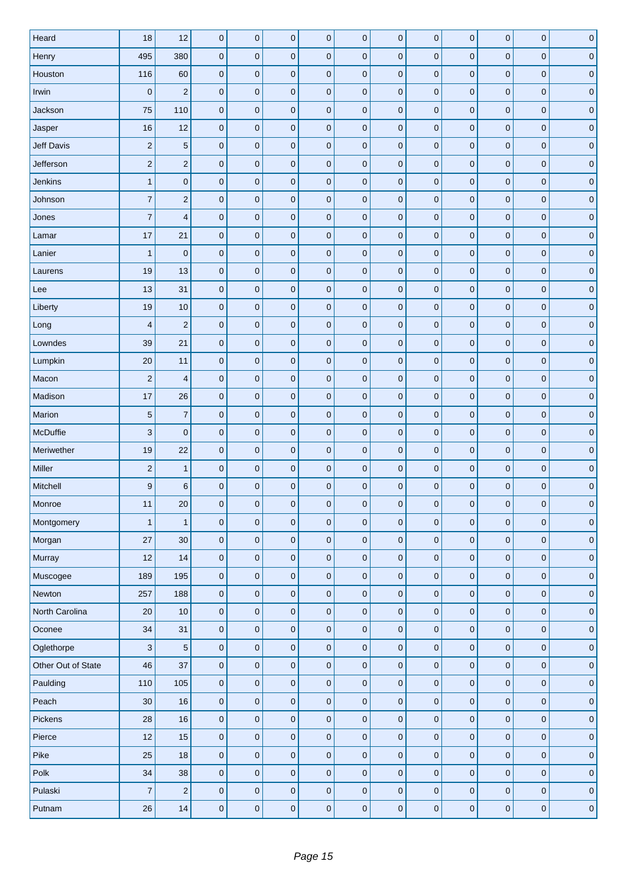| Heard              | 18                      | 12                      | $\pmb{0}$           | $\mathsf 0$         | $\pmb{0}$    | $\pmb{0}$        | $\pmb{0}$        | $\pmb{0}$        | $\pmb{0}$        | 0                | $\mathbf 0$      | $\pmb{0}$        | $\pmb{0}$    |
|--------------------|-------------------------|-------------------------|---------------------|---------------------|--------------|------------------|------------------|------------------|------------------|------------------|------------------|------------------|--------------|
| Henry              | 495                     | 380                     | $\pmb{0}$           | $\pmb{0}$           | $\mathbf{0}$ | $\mathbf 0$      | $\pmb{0}$        | $\pmb{0}$        | $\pmb{0}$        | 0                | $\pmb{0}$        | $\pmb{0}$        | $\pmb{0}$    |
| Houston            | 116                     | 60                      | $\pmb{0}$           | $\pmb{0}$           | $\mathbf 0$  | $\pmb{0}$        | $\pmb{0}$        | $\pmb{0}$        | $\pmb{0}$        | $\pmb{0}$        | $\boldsymbol{0}$ | $\pmb{0}$        | $\mathbf 0$  |
| Irwin              | $\bf 0$                 | $\sqrt{2}$              | $\pmb{0}$           | $\pmb{0}$           | $\mathbf 0$  | $\pmb{0}$        | $\pmb{0}$        | $\pmb{0}$        | $\pmb{0}$        | 0                | $\pmb{0}$        | $\pmb{0}$        | $\pmb{0}$    |
| Jackson            | 75                      | 110                     | $\pmb{0}$           | $\pmb{0}$           | $\pmb{0}$    | $\pmb{0}$        | $\pmb{0}$        | $\pmb{0}$        | $\pmb{0}$        | 0                | $\pmb{0}$        | $\pmb{0}$        | $\pmb{0}$    |
| Jasper             | 16                      | 12                      | $\pmb{0}$           | $\pmb{0}$           | $\mathbf 0$  | $\pmb{0}$        | $\boldsymbol{0}$ | $\pmb{0}$        | $\pmb{0}$        | $\pmb{0}$        | $\boldsymbol{0}$ | $\pmb{0}$        | $\pmb{0}$    |
| <b>Jeff Davis</b>  | $\overline{\mathbf{c}}$ | $\sqrt{5}$              | $\pmb{0}$           | $\pmb{0}$           | $\mathbf 0$  | $\mathbf 0$      | $\pmb{0}$        | $\pmb{0}$        | $\pmb{0}$        | $\pmb{0}$        | $\mathbf 0$      | $\pmb{0}$        | $\mathbf 0$  |
| Jefferson          | $\overline{c}$          | $\mathbf 2$             | $\pmb{0}$           | $\pmb{0}$           | $\mathbf{0}$ | $\pmb{0}$        | $\pmb{0}$        | $\pmb{0}$        | $\pmb{0}$        | $\pmb{0}$        | $\pmb{0}$        | $\pmb{0}$        | $\mathbf 0$  |
| Jenkins            | $\mathbf{1}$            | $\pmb{0}$               | $\pmb{0}$           | $\pmb{0}$           | $\mathbf 0$  | $\mathbf 0$      | $\pmb{0}$        | $\pmb{0}$        | $\pmb{0}$        | 0                | $\bf 0$          | $\pmb{0}$        | $\mathbf 0$  |
| Johnson            | $\overline{7}$          | $\mathbf 2$             | $\pmb{0}$           | $\mathsf 0$         | $\mathbf 0$  | $\pmb{0}$        | $\pmb{0}$        | $\pmb{0}$        | $\pmb{0}$        | 0                | $\bf 0$          | $\pmb{0}$        | $\bf 0$      |
| Jones              | $\overline{7}$          | $\overline{4}$          | $\pmb{0}$           | $\mathsf 0$         | $\pmb{0}$    | $\pmb{0}$        | $\pmb{0}$        | $\pmb{0}$        | $\pmb{0}$        | $\pmb{0}$        | $\pmb{0}$        | $\pmb{0}$        | $\pmb{0}$    |
| Lamar              | 17                      | 21                      | $\pmb{0}$           | $\pmb{0}$           | $\mathbf 0$  | $\pmb{0}$        | $\boldsymbol{0}$ | $\pmb{0}$        | $\pmb{0}$        | $\bf{0}$         | $\boldsymbol{0}$ | $\pmb{0}$        | $\mathbf 0$  |
| Lanier             | $\mathbf{1}$            | $\pmb{0}$               | $\pmb{0}$           | $\pmb{0}$           | $\mathbf 0$  | $\mathbf 0$      | $\pmb{0}$        | $\pmb{0}$        | $\pmb{0}$        | 0                | $\pmb{0}$        | $\pmb{0}$        | $\mathbf 0$  |
| Laurens            | 19                      | 13                      | $\pmb{0}$           | $\pmb{0}$           | $\mathbf 0$  | $\pmb{0}$        | $\pmb{0}$        | $\pmb{0}$        | $\pmb{0}$        | 0                | $\mathbf 0$      | $\mathbf 0$      | $\mathbf 0$  |
| Lee                | 13                      | 31                      | $\pmb{0}$           | $\pmb{0}$           | $\mathbf{0}$ | $\pmb{0}$        | $\boldsymbol{0}$ | $\pmb{0}$        | $\pmb{0}$        | 0                | $\pmb{0}$        | $\pmb{0}$        | $\mathbf 0$  |
| Liberty            | 19                      | 10                      | $\pmb{0}$           | $\pmb{0}$           | $\mathbf 0$  | $\pmb{0}$        | $\pmb{0}$        | $\pmb{0}$        | $\pmb{0}$        | $\pmb{0}$        | $\pmb{0}$        | $\pmb{0}$        | $\mathbf 0$  |
| Long               | $\overline{\mathbf{4}}$ | $\overline{2}$          | $\mathbf 0$         | $\pmb{0}$           | $\mathbf 0$  | $\pmb{0}$        | $\pmb{0}$        | $\pmb{0}$        | $\pmb{0}$        | 0                | $\bf 0$          | $\pmb{0}$        | $\pmb{0}$    |
| Lowndes            | 39                      | 21                      | $\pmb{0}$           | $\pmb{0}$           | $\mathbf 0$  | $\pmb{0}$        | $\pmb{0}$        | $\pmb{0}$        | $\pmb{0}$        | $\bf{0}$         | $\bf 0$          | $\pmb{0}$        | $\pmb{0}$    |
| Lumpkin            | 20                      | 11                      | $\pmb{0}$           | $\mathsf 0$         | $\mathbf 0$  | $\mathbf 0$      | $\pmb{0}$        | $\pmb{0}$        | $\pmb{0}$        | 0                | $\mathbf 0$      | $\pmb{0}$        | $\mathbf 0$  |
| Macon              | $\overline{c}$          | $\overline{\mathbf{4}}$ | $\pmb{0}$           | $\mathsf 0$         | $\mathbf 0$  | $\pmb{0}$        | $\pmb{0}$        | $\pmb{0}$        | $\pmb{0}$        | 0                | $\mathbf 0$      | $\mathbf 0$      | $\mathbf 0$  |
| Madison            | 17                      | 26                      | $\pmb{0}$           | $\pmb{0}$           | $\mathbf{0}$ | $\pmb{0}$        | $\pmb{0}$        | $\pmb{0}$        | $\pmb{0}$        | $\pmb{0}$        | $\bf 0$          | $\pmb{0}$        | $\mathbf 0$  |
| Marion             | 5                       | $\overline{7}$          | $\pmb{0}$           | $\pmb{0}$           | $\mathbf 0$  | $\pmb{0}$        | $\pmb{0}$        | $\pmb{0}$        | $\pmb{0}$        | 0                | $\boldsymbol{0}$ | $\pmb{0}$        | $\mathbf 0$  |
| McDuffie           | 3                       | $\mathbf 0$             | $\mathbf 0$         | $\pmb{0}$           | $\mathbf 0$  | $\pmb{0}$        | $\pmb{0}$        | $\pmb{0}$        | $\pmb{0}$        | 0                | $\pmb{0}$        | $\pmb{0}$        | $\pmb{0}$    |
| Meriwether         | 19                      | 22                      | $\pmb{0}$           | $\pmb{0}$           | $\mathbf{0}$ | $\pmb{0}$        | $\pmb{0}$        | $\pmb{0}$        | $\pmb{0}$        | 0                | $\boldsymbol{0}$ | $\pmb{0}$        | $\mathbf 0$  |
| Miller             | $\overline{2}$          | $\mathbf{1}$            | $\pmb{0}$           | $\pmb{0}$           | $\mathbf 0$  | $\mathbf 0$      | $\mathbf 0$      | $\pmb{0}$        | $\pmb{0}$        | $\boldsymbol{0}$ | $\mathbf 0$      | $\pmb{0}$        | $\mathbf 0$  |
| Mitchell           | 9                       | 6                       | $\pmb{0}$           | $\pmb{0}$           | $\mathbf 0$  | $\pmb{0}$        | $\boldsymbol{0}$ | $\pmb{0}$        | $\pmb{0}$        | 0                | $\boldsymbol{0}$ | $\pmb{0}$        | $\mathbf 0$  |
| Monroe             | 11                      | 20                      | $\boldsymbol{0}$    | 0                   | 0            | $\boldsymbol{0}$ | $\mathbf 0$      | $\boldsymbol{0}$ | $\boldsymbol{0}$ | 0                | $\mathbf 0$      | $\boldsymbol{0}$ | $\mathbf 0$  |
| Montgomery         | $\mathbf{1}$            | $\mathbf{1}$            | $\pmb{0}$           | $\pmb{0}$           | $\pmb{0}$    | $\pmb{0}$        | $\pmb{0}$        | $\mathbf 0$      | $\pmb{0}$        | 0                | $\mathbf{0}$     | $\pmb{0}$        | $\mathbf 0$  |
| Morgan             | 27                      | 30                      | $\mathbf 0$         | $\pmb{0}$           | $\pmb{0}$    | $\pmb{0}$        | $\mathbf 0$      | $\pmb{0}$        | $\pmb{0}$        | $\mathbf 0$      | $\mathbf 0$      | $\mathbf 0$      | $\mathbf 0$  |
| Murray             | 12                      | 14                      | $\mathbf 0$         | $\pmb{0}$           | $\mathbf 0$  | $\pmb{0}$        | $\mathbf 0$      | $\pmb{0}$        | $\pmb{0}$        | $\mathbf 0$      | $\pmb{0}$        | $\mathbf 0$      | $\mathbf 0$  |
| Muscogee           | 189                     | 195                     | $\pmb{0}$           | $\pmb{0}$           | $\pmb{0}$    | $\pmb{0}$        | $\pmb{0}$        | $\mathbf 0$      | $\mathbf 0$      | 0                | $\mathbf 0$      | $\mathbf 0$      | $\mathbf 0$  |
| Newton             | 257                     | 188                     | $\mathbf 0$         | $\mathsf{O}\xspace$ | $\pmb{0}$    | $\pmb{0}$        | $\mathbf 0$      | $\pmb{0}$        | $\pmb{0}$        | 0                | $\pmb{0}$        | $\mathbf 0$      | $\mathbf 0$  |
| North Carolina     | 20                      | 10                      | $\mathsf{O}\xspace$ | $\mathsf{O}\xspace$ | $\mathbf 0$  | $\pmb{0}$        | $\mathbf 0$      | $\pmb{0}$        | $\pmb{0}$        | $\mathbf 0$      | $\pmb{0}$        | $\mathbf 0$      | $\mathbf 0$  |
| Oconee             | 34                      | 31                      | $\pmb{0}$           | $\pmb{0}$           | $\pmb{0}$    | $\pmb{0}$        | $\pmb{0}$        | $\pmb{0}$        | $\pmb{0}$        | 0                | $\mathbf 0$      | $\pmb{0}$        | $\mathbf 0$  |
| Oglethorpe         | $\sqrt{3}$              | $\sqrt{5}$              | $\mathbf 0$         | $\pmb{0}$           | $\pmb{0}$    | $\pmb{0}$        | $\mathbf 0$      | $\mathbf 0$      | $\pmb{0}$        | 0                | $\mathbf 0$      | $\mathbf 0$      | $\mathbf{0}$ |
| Other Out of State | 46                      | 37                      | $\mathbf 0$         | $\mathsf{O}\xspace$ | $\pmb{0}$    | $\pmb{0}$        | $\mathbf 0$      | $\pmb{0}$        | $\mathbf 0$      | $\mathbf 0$      | $\pmb{0}$        | $\mathbf 0$      | $\pmb{0}$    |
| Paulding           | 110                     | 105                     | $\pmb{0}$           | $\mathsf 0$         | $\pmb{0}$    | $\pmb{0}$        | $\pmb{0}$        | $\mathbf 0$      | $\pmb{0}$        | 0                | $\mathbf 0$      | $\mathbf 0$      | $\mathbf 0$  |
| Peach              | 30                      | 16                      | $\pmb{0}$           | $\mathsf{O}\xspace$ | $\pmb{0}$    | $\pmb{0}$        | $\mathbf 0$      | $\pmb{0}$        | $\pmb{0}$        | 0                | $\pmb{0}$        | $\mathbf 0$      | $\mathbf 0$  |
| Pickens            | 28                      | 16                      | $\mathsf{O}\xspace$ | $\mathsf 0$         | $\pmb{0}$    | $\pmb{0}$        | $\pmb{0}$        | $\pmb{0}$        | $\pmb{0}$        | 0                | $\pmb{0}$        | $\pmb{0}$        | $\mathbf 0$  |
| Pierce             | 12                      | 15                      | $\pmb{0}$           | $\pmb{0}$           | $\pmb{0}$    | $\pmb{0}$        | $\pmb{0}$        | $\mathbf 0$      | $\pmb{0}$        | 0                | $\mathbf 0$      | $\pmb{0}$        | $\mathbf 0$  |
| Pike               | 25                      | 18                      | $\pmb{0}$           | $\pmb{0}$           | $\pmb{0}$    | $\pmb{0}$        | $\pmb{0}$        | $\pmb{0}$        | $\pmb{0}$        | $\pmb{0}$        | $\mathbf 0$      | $\pmb{0}$        | $\mathbf 0$  |
| Polk               | 34                      | 38                      | $\mathbf 0$         | $\mathsf{O}\xspace$ | $\pmb{0}$    | $\pmb{0}$        | $\mathbf 0$      | $\pmb{0}$        | $\pmb{0}$        | $\mathbf 0$      | $\pmb{0}$        | $\mathbf 0$      | $\mathbf 0$  |
| Pulaski            | $\overline{7}$          | $\sqrt{2}$              | $\mathbf 0$         | $\mathbf 0$         | $\pmb{0}$    | $\mathbf 0$      | $\mathbf 0$      | $\mathbf 0$      | $\mathbf 0$      | $\mathbf 0$      | $\mathbf 0$      | $\mathbf 0$      | $\pmb{0}$    |
| Putnam             | $26\,$                  | 14                      | $\pmb{0}$           | $\pmb{0}$           | 0            | $\pmb{0}$        | $\pmb{0}$        | $\pmb{0}$        | $\pmb{0}$        | $\pmb{0}$        | $\mathbf 0$      | $\pmb{0}$        | $\mathbf{0}$ |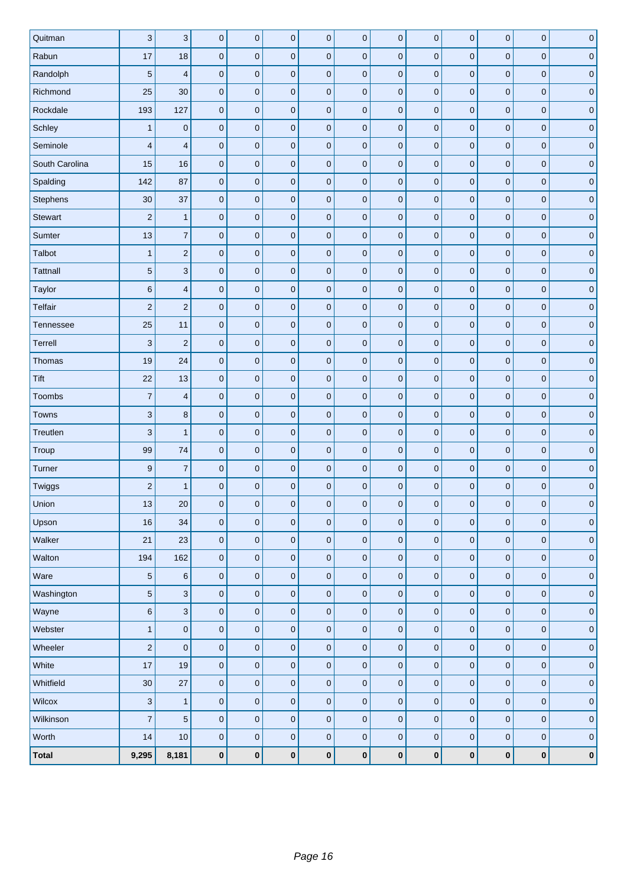| Quitman         | $\sqrt{3}$                | $\mathbf{3}$              | $\pmb{0}$   | $\mathsf 0$         | $\pmb{0}$           | 0              | $\mathbf 0$         | $\bf 0$   | $\mathbf 0$ | $\pmb{0}$   | $\mathbf 0$  | $\mathbf 0$ | $\pmb{0}$   |
|-----------------|---------------------------|---------------------------|-------------|---------------------|---------------------|----------------|---------------------|-----------|-------------|-------------|--------------|-------------|-------------|
| Rabun           | 17                        | 18                        | $\pmb{0}$   | $\pmb{0}$           | $\pmb{0}$           | $\mathbf 0$    | $\pmb{0}$           | $\pmb{0}$ | $\pmb{0}$   | $\pmb{0}$   | $\mathbf 0$  | $\mathbf 0$ | $\pmb{0}$   |
| Randolph        | 5                         | $\overline{\mathbf{4}}$   | $\pmb{0}$   | $\pmb{0}$           | $\pmb{0}$           | $\pmb{0}$      | $\mathbf 0$         | $\bf 0$   | $\pmb{0}$   | $\pmb{0}$   | $\mathbf 0$  | $\mathbf 0$ | $\pmb{0}$   |
| Richmond        | 25                        | 30                        | $\pmb{0}$   | $\pmb{0}$           | $\pmb{0}$           | $\pmb{0}$      | $\mathbf 0$         | $\bf 0$   | $\pmb{0}$   | $\pmb{0}$   | $\mathbf 0$  | $\mathbf 0$ | $\pmb{0}$   |
| Rockdale        | 193                       | 127                       | $\pmb{0}$   | $\pmb{0}$           | $\pmb{0}$           | $\pmb{0}$      | $\pmb{0}$           | $\pmb{0}$ | $\pmb{0}$   | $\pmb{0}$   | $\mathbf{0}$ | $\mathbf 0$ | $\pmb{0}$   |
| Schley          | $\mathbf{1}$              | $\mathbf 0$               | $\pmb{0}$   | $\pmb{0}$           | $\pmb{0}$           | $\mathbf 0$    | $\mathbf 0$         | $\pmb{0}$ | $\mathbf 0$ | $\pmb{0}$   | $\mathbf 0$  | $\mathbf 0$ | $\pmb{0}$   |
| Seminole        | $\overline{\mathbf{4}}$   | $\overline{4}$            | $\mathbf 0$ | $\mathbf 0$         | $\pmb{0}$           | $\mathbf 0$    | $\mathbf 0$         | $\pmb{0}$ | $\mathbf 0$ | $\mathbf 0$ | $\mathbf 0$  | $\mathbf 0$ | $\pmb{0}$   |
| South Carolina  | 15                        | 16                        | $\pmb{0}$   | $\pmb{0}$           | $\pmb{0}$           | $\pmb{0}$      | $\pmb{0}$           | $\pmb{0}$ | $\mathbf 0$ | $\pmb{0}$   | $\mathbf 0$  | $\mathbf 0$ | $\pmb{0}$   |
| Spalding        | 142                       | 87                        | $\pmb{0}$   | $\pmb{0}$           | $\pmb{0}$           | 0              | $\mathbf 0$         | $\pmb{0}$ | $\pmb{0}$   | $\pmb{0}$   | $\pmb{0}$    | $\pmb{0}$   | $\pmb{0}$   |
| Stephens        | 30                        | 37                        | $\pmb{0}$   | $\pmb{0}$           | $\pmb{0}$           | $\overline{0}$ | $\mathbf 0$         | $\bf 0$   | $\pmb{0}$   | $\mathbf 0$ | $\mathbf 0$  | $\mathbf 0$ | $\pmb{0}$   |
| <b>Stewart</b>  | $\overline{c}$            | $\mathbf{1}$              | $\pmb{0}$   | $\pmb{0}$           | $\pmb{0}$           | $\pmb{0}$      | $\pmb{0}$           | $\pmb{0}$ | $\pmb{0}$   | $\pmb{0}$   | $\mathbf 0$  | $\mathbf 0$ | $\pmb{0}$   |
| Sumter          | 13                        | $\overline{\mathcal{I}}$  | $\pmb{0}$   | $\pmb{0}$           | $\pmb{0}$           | $\pmb{0}$      | $\mathbf 0$         | $\pmb{0}$ | $\pmb{0}$   | $\pmb{0}$   | $\mathbf 0$  | $\mathbf 0$ | $\pmb{0}$   |
| Talbot          | $\mathbf{1}$              | $\sqrt{2}$                | $\mathbf 0$ | $\mathbf 0$         | $\pmb{0}$           | $\mathbf 0$    | $\mathbf 0$         | $\pmb{0}$ | $\mathbf 0$ | $\pmb{0}$   | $\mathbf 0$  | $\mathbf 0$ | $\pmb{0}$   |
| <b>Tattnall</b> | 5                         | $\ensuremath{\mathsf{3}}$ | $\pmb{0}$   | $\pmb{0}$           | $\pmb{0}$           | $\pmb{0}$      | $\pmb{0}$           | $\pmb{0}$ | $\pmb{0}$   | $\pmb{0}$   | $\mathbf 0$  | $\mathbf 0$ | $\pmb{0}$   |
| Taylor          | $\,$ 6                    | $\overline{\mathbf{4}}$   | $\pmb{0}$   | $\pmb{0}$           | $\pmb{0}$           | $\pmb{0}$      | $\mathbf 0$         | $\pmb{0}$ | $\pmb{0}$   | $\mathbf 0$ | $\pmb{0}$    | $\pmb{0}$   | $\pmb{0}$   |
| <b>Telfair</b>  | $\overline{c}$            | $\sqrt{2}$                | $\mathbf 0$ | $\pmb{0}$           | $\pmb{0}$           | $\overline{0}$ | $\mathbf 0$         | $\pmb{0}$ | $\pmb{0}$   | $\pmb{0}$   | $\mathbf 0$  | $\pmb{0}$   | $\pmb{0}$   |
| Tennessee       | 25                        | 11                        | $\pmb{0}$   | $\pmb{0}$           | $\pmb{0}$           | $\pmb{0}$      | $\mathbf 0$         | $\pmb{0}$ | $\pmb{0}$   | $\mathbf 0$ | $\mathbf{0}$ | $\mathbf 0$ | $\pmb{0}$   |
| Terrell         | $\ensuremath{\mathsf{3}}$ | $\mathbf 2$               | $\pmb{0}$   | $\pmb{0}$           | $\pmb{0}$           | $\pmb{0}$      | $\mathbf 0$         | $\pmb{0}$ | $\pmb{0}$   | $\pmb{0}$   | $\pmb{0}$    | $\mathbf 0$ | $\pmb{0}$   |
| Thomas          | 19                        | 24                        | $\mathbf 0$ | $\mathbf 0$         | $\pmb{0}$           | $\mathbf 0$    | $\mathbf 0$         | $\pmb{0}$ | $\mathbf 0$ | $\pmb{0}$   | $\mathbf 0$  | $\mathbf 0$ | $\pmb{0}$   |
| <b>Tift</b>     | 22                        | 13                        | $\mathbf 0$ | $\pmb{0}$           | $\pmb{0}$           | $\mathbf 0$    | $\mathbf 0$         | $\pmb{0}$ | $\mathbf 0$ | $\pmb{0}$   | $\mathbf 0$  | $\mathbf 0$ | $\pmb{0}$   |
| Toombs          | $\overline{7}$            | $\overline{\mathbf{4}}$   | $\pmb{0}$   | $\mathsf 0$         | $\pmb{0}$           | 0              | $\mathbf 0$         | $\pmb{0}$ | $\pmb{0}$   | $\pmb{0}$   | $\pmb{0}$    | $\pmb{0}$   | $\pmb{0}$   |
| <b>Towns</b>    | $\ensuremath{\mathsf{3}}$ | 8                         | $\pmb{0}$   | $\pmb{0}$           | $\mathbf 0$         | $\pmb{0}$      | $\mathbf 0$         | $\bf 0$   | $\pmb{0}$   | $\mathbf 0$ | $\pmb{0}$    | $\mathbf 0$ | $\pmb{0}$   |
| Treutlen        | $\ensuremath{\mathsf{3}}$ | $\mathbf{1}$              | $\pmb{0}$   | $\pmb{0}$           | $\pmb{0}$           | $\pmb{0}$      | $\mathbf 0$         | $\pmb{0}$ | $\mathbf 0$ | $\pmb{0}$   | $\mathbf 0$  | $\mathbf 0$ | $\pmb{0}$   |
| Troup           | 99                        | 74                        | $\pmb{0}$   | $\pmb{0}$           | $\pmb{0}$           | $\pmb{0}$      | $\mathbf 0$         | $\pmb{0}$ | $\pmb{0}$   | $\pmb{0}$   | $\mathbf 0$  | $\mathbf 0$ | $\pmb{0}$   |
| Turner          | $\boldsymbol{9}$          | $\overline{7}$            | $\pmb{0}$   | $\pmb{0}$           | $\pmb{0}$           | $\pmb{0}$      | $\mathbf 0$         | $\bf 0$   | $\pmb{0}$   | $\mathbf 0$ | $\pmb{0}$    | $\mathbf 0$ | $\pmb{0}$   |
| Twiggs          | $\sqrt{2}$                | $\mathbf{1}$              | $\pmb{0}$   | $\pmb{0}$           | $\pmb{0}$           | 0              | $\mathbf 0$         | $\bf 0$   | $\pmb{0}$   | $\pmb{0}$   | $\pmb{0}$    | $\mathbf 0$ | $\pmb{0}$   |
| Union           | 13                        | 20                        | $\pmb{0}$   | $\pmb{0}$           | $\pmb{0}$           | $\mathbf 0$    | $\mathbf 0$         | $\pmb{0}$ | $\pmb{0}$   | $\pmb{0}$   | $\pmb{0}$    | $\pmb{0}$   | $\pmb{0}$   |
| Upson           | 16                        | 34                        | $\mathbf 0$ | $\pmb{0}$           | $\pmb{0}$           | $\pmb{0}$      | $\mathsf{O}\xspace$ | $\pmb{0}$ | $\pmb{0}$   | $\pmb{0}$   | $\pmb{0}$    | $\pmb{0}$   | $\pmb{0}$   |
| Walker          | 21                        | 23                        | $\pmb{0}$   | $\mathsf{O}\xspace$ | $\pmb{0}$           | $\pmb{0}$      | $\mathbf 0$         | $\pmb{0}$ | $\pmb{0}$   | $\pmb{0}$   | $\pmb{0}$    | $\pmb{0}$   | $\pmb{0}$   |
| Walton          | 194                       | 162                       | $\pmb{0}$   | $\pmb{0}$           | $\pmb{0}$           | $\pmb{0}$      | $\pmb{0}$           | $\pmb{0}$ | $\pmb{0}$   | $\pmb{0}$   | $\pmb{0}$    | $\pmb{0}$   | $\pmb{0}$   |
| Ware            | $\sqrt{5}$                | $\, 6$                    | $\mathbf 0$ | $\mathsf{O}\xspace$ | $\pmb{0}$           | $\pmb{0}$      | $\mathbf 0$         | $\pmb{0}$ | $\pmb{0}$   | $\pmb{0}$   | $\pmb{0}$    | $\pmb{0}$   | $\pmb{0}$   |
| Washington      | $\sqrt{5}$                | $\ensuremath{\mathsf{3}}$ | $\pmb{0}$   | $\pmb{0}$           | $\pmb{0}$           | $\pmb{0}$      | $\pmb{0}$           | $\pmb{0}$ | $\pmb{0}$   | $\pmb{0}$   | $\pmb{0}$    | $\pmb{0}$   | $\mathbf 0$ |
| Wayne           | $\,$ 6                    | $\mathbf{3}$              | $\pmb{0}$   | $\mathsf{O}\xspace$ | $\pmb{0}$           | $\pmb{0}$      | $\pmb{0}$           | $\pmb{0}$ | $\pmb{0}$   | $\pmb{0}$   | $\mathbf 0$  | $\pmb{0}$   | $\pmb{0}$   |
| Webster         | $\mathbf{1}$              | $\pmb{0}$                 | $\mathbf 0$ | $\pmb{0}$           | $\pmb{0}$           | $\pmb{0}$      | $\pmb{0}$           | $\pmb{0}$ | $\pmb{0}$   | $\pmb{0}$   | $\pmb{0}$    | $\pmb{0}$   | $\pmb{0}$   |
| Wheeler         | $\overline{c}$            | $\pmb{0}$                 | $\pmb{0}$   | $\pmb{0}$           | $\pmb{0}$           | $\pmb{0}$      | $\pmb{0}$           | $\pmb{0}$ | $\pmb{0}$   | $\pmb{0}$   | $\pmb{0}$    | $\pmb{0}$   | $\pmb{0}$   |
| White           | 17                        | 19                        | $\pmb{0}$   | $\mathsf{O}\xspace$ | $\pmb{0}$           | $\pmb{0}$      | $\pmb{0}$           | $\pmb{0}$ | $\pmb{0}$   | $\pmb{0}$   | $\pmb{0}$    | $\pmb{0}$   | $\pmb{0}$   |
| Whitfield       | 30                        | 27                        | $\mathbf 0$ | $\pmb{0}$           | $\mathsf{O}\xspace$ | $\pmb{0}$      | $\pmb{0}$           | $\pmb{0}$ | $\pmb{0}$   | $\pmb{0}$   | $\mathbf 0$  | $\pmb{0}$   | $\pmb{0}$   |
| Wilcox          | $\sqrt{3}$                | $\mathbf{1}$              | $\pmb{0}$   | $\pmb{0}$           | $\pmb{0}$           | $\pmb{0}$      | $\mathbf 0$         | $\pmb{0}$ | $\pmb{0}$   | $\pmb{0}$   | $\pmb{0}$    | $\pmb{0}$   | $\pmb{0}$   |
| Wilkinson       | $\overline{7}$            | $\sqrt{5}$                | $\pmb{0}$   | $\mathsf{O}\xspace$ | $\mathsf{O}\xspace$ | $\pmb{0}$      | $\pmb{0}$           | $\pmb{0}$ | $\pmb{0}$   | $\pmb{0}$   | $\mathbf 0$  | $\pmb{0}$   | $\pmb{0}$   |
| Worth           | 14                        | 10                        | $\pmb{0}$   | $\pmb{0}$           | $\pmb{0}$           | $\pmb{0}$      | $\mathbf 0$         | $\pmb{0}$ | $\pmb{0}$   | $\pmb{0}$   | $\pmb{0}$    | $\pmb{0}$   | $\pmb{0}$   |
| <b>Total</b>    | 9,295                     | 8,181                     | $\pmb{0}$   | $\pmb{0}$           | $\pmb{0}$           | $\pmb{0}$      | $\pmb{0}$           | $\pmb{0}$ | $\pmb{0}$   | $\pmb{0}$   | $\pmb{0}$    | $\pmb{0}$   | $\pmb{0}$   |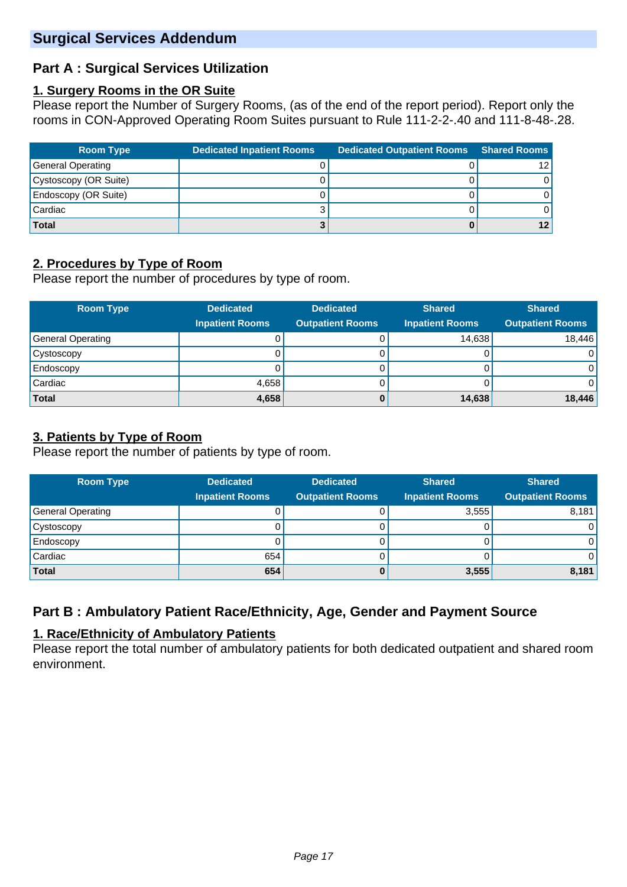# **Part A : Surgical Services Utilization**

### **1. Surgery Rooms in the OR Suite**

Please report the Number of Surgery Rooms, (as of the end of the report period). Report only the rooms in CON-Approved Operating Room Suites pursuant to Rule 111-2-2-.40 and 111-8-48-.28.

| <b>Room Type</b>            | <b>Dedicated Inpatient Rooms</b> | <b>Dedicated Outpatient Rooms</b> | <b>Shared Rooms</b> |
|-----------------------------|----------------------------------|-----------------------------------|---------------------|
| General Operating           |                                  |                                   | 12 <sub>1</sub>     |
| Cystoscopy (OR Suite)       |                                  |                                   |                     |
| <b>Endoscopy (OR Suite)</b> |                                  |                                   |                     |
| Cardiac                     |                                  |                                   |                     |
| <b>Total</b>                |                                  |                                   | 12 <sup>1</sup>     |

# **2. Procedures by Type of Room**

Please report the number of procedures by type of room.

| <b>Room Type</b>  | <b>Dedicated</b>       | <b>Dedicated</b>        | <b>Shared</b>          | <b>Shared</b>           |  |
|-------------------|------------------------|-------------------------|------------------------|-------------------------|--|
|                   | <b>Inpatient Rooms</b> | <b>Outpatient Rooms</b> | <b>Inpatient Rooms</b> | <b>Outpatient Rooms</b> |  |
| General Operating |                        |                         | 14,638                 | 18,446                  |  |
| Cystoscopy        |                        |                         |                        | $\overline{0}$          |  |
| Endoscopy         |                        |                         |                        | $\overline{0}$          |  |
| Cardiac           | 4.658                  |                         |                        | $\overline{0}$          |  |
| <b>Total</b>      | 4,658                  | O                       | 14,638                 | 18,446                  |  |

# **3. Patients by Type of Room**

Please report the number of patients by type of room.

| <b>Room Type</b>         | <b>Dedicated</b>       | <b>Dedicated</b>        | <b>Shared</b>          | <b>Shared</b>           |  |
|--------------------------|------------------------|-------------------------|------------------------|-------------------------|--|
|                          | <b>Inpatient Rooms</b> | <b>Outpatient Rooms</b> | <b>Inpatient Rooms</b> | <b>Outpatient Rooms</b> |  |
| <b>General Operating</b> |                        |                         | 3,555                  | 8,181                   |  |
| Cystoscopy               |                        |                         |                        | $\overline{0}$          |  |
| Endoscopy                |                        |                         |                        | 0                       |  |
| Cardiac                  | 654                    |                         |                        | $\overline{0}$          |  |
| <b>Total</b>             | 654                    |                         | 3,555                  | 8,181                   |  |

# **Part B : Ambulatory Patient Race/Ethnicity, Age, Gender and Payment Source**

# **1. Race/Ethnicity of Ambulatory Patients**

Please report the total number of ambulatory patients for both dedicated outpatient and shared room environment.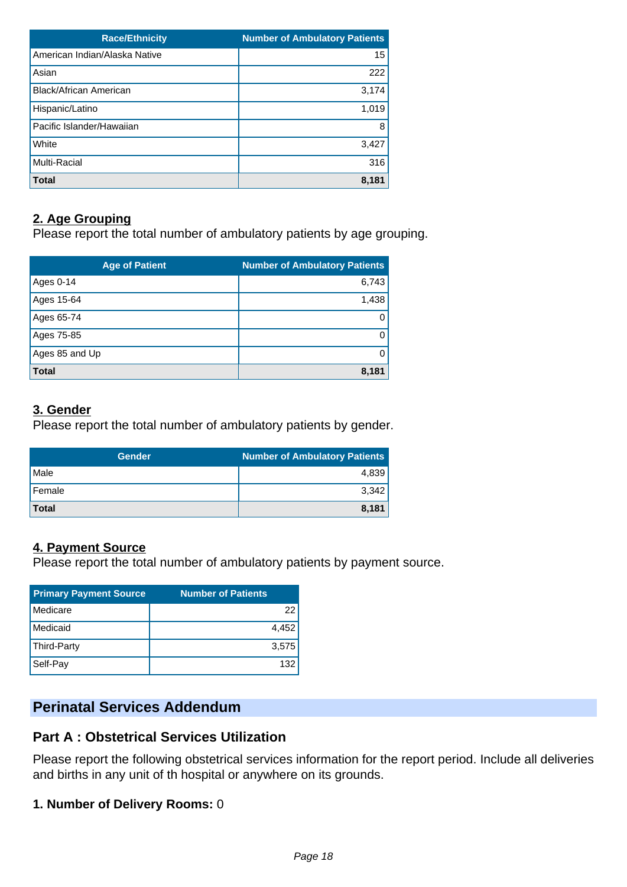| <b>Race/Ethnicity</b>         | <b>Number of Ambulatory Patients</b> |
|-------------------------------|--------------------------------------|
| American Indian/Alaska Native | 15                                   |
| Asian                         | 222                                  |
| <b>Black/African American</b> | 3,174                                |
| Hispanic/Latino               | 1,019                                |
| Pacific Islander/Hawaiian     | 8                                    |
| White                         | 3,427                                |
| Multi-Racial                  | 316                                  |
| <b>Total</b>                  | 8,181                                |

# **2. Age Grouping**

Please report the total number of ambulatory patients by age grouping.

| <b>Age of Patient</b> | <b>Number of Ambulatory Patients</b> |
|-----------------------|--------------------------------------|
| Ages 0-14             | 6,743                                |
| Ages 15-64            | 1,438                                |
| Ages 65-74            | 0                                    |
| Ages 75-85            | 0                                    |
| Ages 85 and Up        | 0                                    |
| <b>Total</b>          | 8,181                                |

# **3. Gender**

Please report the total number of ambulatory patients by gender.

| <b>Gender</b> | Number of Ambulatory Patients |
|---------------|-------------------------------|
| Male          | 4,839                         |
| Female        | 3,342                         |
| <b>Total</b>  | 8,181                         |

# **4. Payment Source**

Please report the total number of ambulatory patients by payment source.

| <b>Primary Payment Source</b> | <b>Number of Patients</b> |
|-------------------------------|---------------------------|
| Medicare                      | 22                        |
| Medicaid                      | 4,452                     |
| Third-Party                   | 3,575                     |
| Self-Pay                      | 132                       |

# **Perinatal Services Addendum**

# **Part A : Obstetrical Services Utilization**

Please report the following obstetrical services information for the report period. Include all deliveries and births in any unit of th hospital or anywhere on its grounds.

# **1. Number of Delivery Rooms:** 0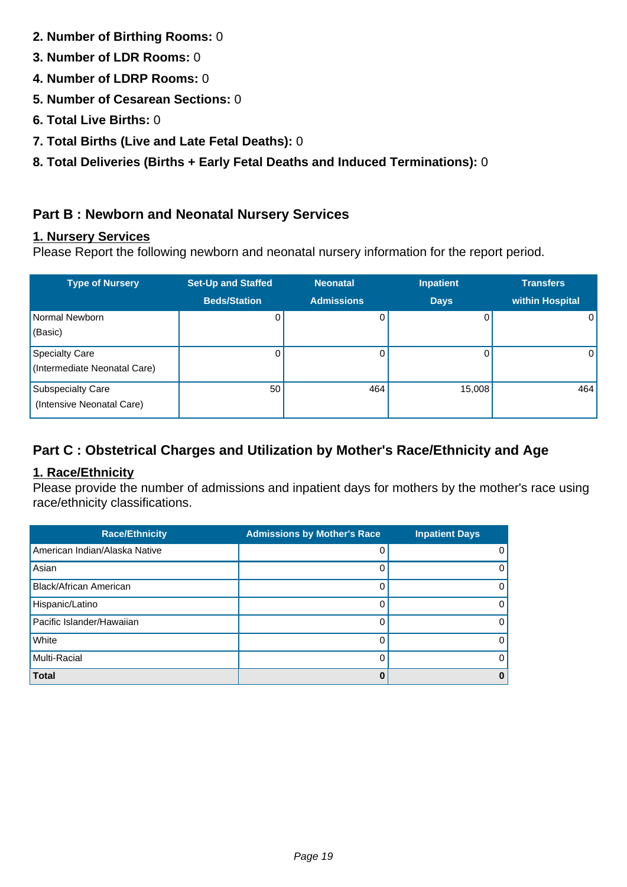- **2. Number of Birthing Rooms:** 0
- **3. Number of LDR Rooms:** 0
- **4. Number of LDRP Rooms:** 0
- **5. Number of Cesarean Sections:** 0
- **6. Total Live Births:** 0
- **7. Total Births (Live and Late Fetal Deaths):** 0
- **8. Total Deliveries (Births + Early Fetal Deaths and Induced Terminations):** 0

# **Part B : Newborn and Neonatal Nursery Services**

# **1. Nursery Services**

Please Report the following newborn and neonatal nursery information for the report period.

| <b>Type of Nursery</b>                                | <b>Set-Up and Staffed</b> | <b>Neonatal</b>   | <b>Inpatient</b> | <b>Transfers</b> |
|-------------------------------------------------------|---------------------------|-------------------|------------------|------------------|
|                                                       | <b>Beds/Station</b>       | <b>Admissions</b> | <b>Days</b>      | within Hospital  |
| Normal Newborn<br>(Basic)                             | 0                         | 0                 | 0                | $\Omega$         |
| <b>Specialty Care</b><br>(Intermediate Neonatal Care) | 0                         | 0                 | 0                | $\Omega$         |
| <b>Subspecialty Care</b><br>(Intensive Neonatal Care) | 50                        | 464               | 15,008           | 464              |

# **Part C : Obstetrical Charges and Utilization by Mother's Race/Ethnicity and Age**

# **1. Race/Ethnicity**

Please provide the number of admissions and inpatient days for mothers by the mother's race using race/ethnicity classifications.

| <b>Race/Ethnicity</b>         | <b>Admissions by Mother's Race</b> | <b>Inpatient Days</b> |
|-------------------------------|------------------------------------|-----------------------|
| American Indian/Alaska Native |                                    | $\Omega$              |
| Asian                         |                                    | $\mathbf{0}$          |
| <b>Black/African American</b> |                                    | $\mathbf{0}$          |
| Hispanic/Latino               |                                    | $\mathbf{0}$          |
| Pacific Islander/Hawaiian     |                                    | $\mathbf{0}$          |
| White                         |                                    | $\mathbf{0}$          |
| Multi-Racial                  |                                    | $\Omega$              |
| <b>Total</b>                  |                                    | $\bf{0}$              |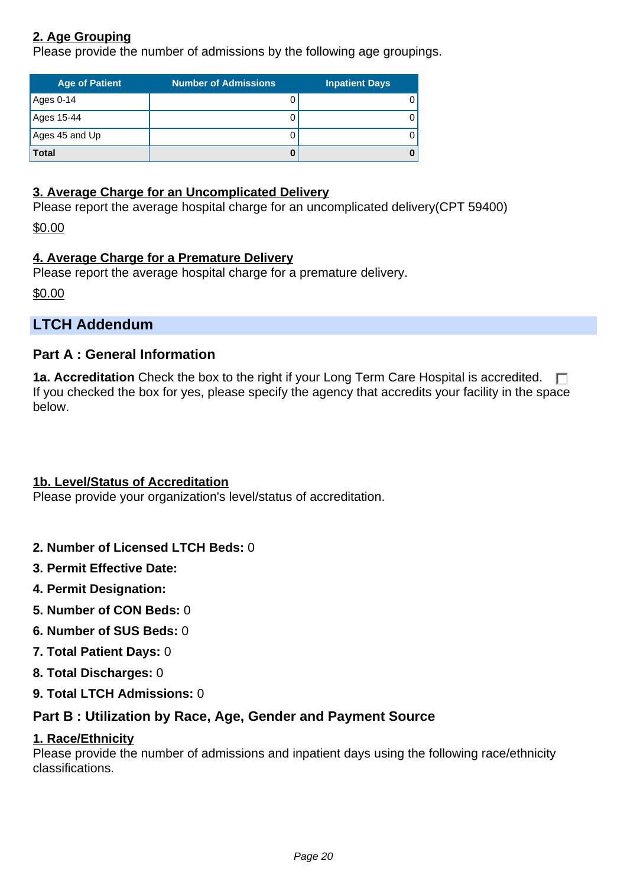# **2. Age Grouping**

Please provide the number of admissions by the following age groupings.

| <b>Age of Patient</b> | <b>Number of Admissions</b> | <b>Inpatient Days</b> |
|-----------------------|-----------------------------|-----------------------|
| Ages 0-14             |                             |                       |
| Ages 15-44            |                             |                       |
| Ages 45 and Up        |                             |                       |
| <b>Total</b>          |                             |                       |

### **3. Average Charge for an Uncomplicated Delivery**

Please report the average hospital charge for an uncomplicated delivery(CPT 59400)

\$0.00

# **4. Average Charge for a Premature Delivery**

Please report the average hospital charge for a premature delivery.

\$0.00

# **LTCH Addendum**

# **Part A : General Information**

**1a. Accreditation** Check the box to the right if your Long Term Care Hospital is accredited.  $\Box$ If you checked the box for yes, please specify the agency that accredits your facility in the space below.

# **1b. Level/Status of Accreditation**

Please provide your organization's level/status of accreditation.

- **2. Number of Licensed LTCH Beds:** 0
- **3. Permit Effective Date:**
- **4. Permit Designation:**
- **5. Number of CON Beds:** 0
- **6. Number of SUS Beds:** 0
- **7. Total Patient Days:** 0
- **8. Total Discharges:** 0
- **9. Total LTCH Admissions:** 0

# **Part B : Utilization by Race, Age, Gender and Payment Source**

#### **1. Race/Ethnicity**

Please provide the number of admissions and inpatient days using the following race/ethnicity classifications.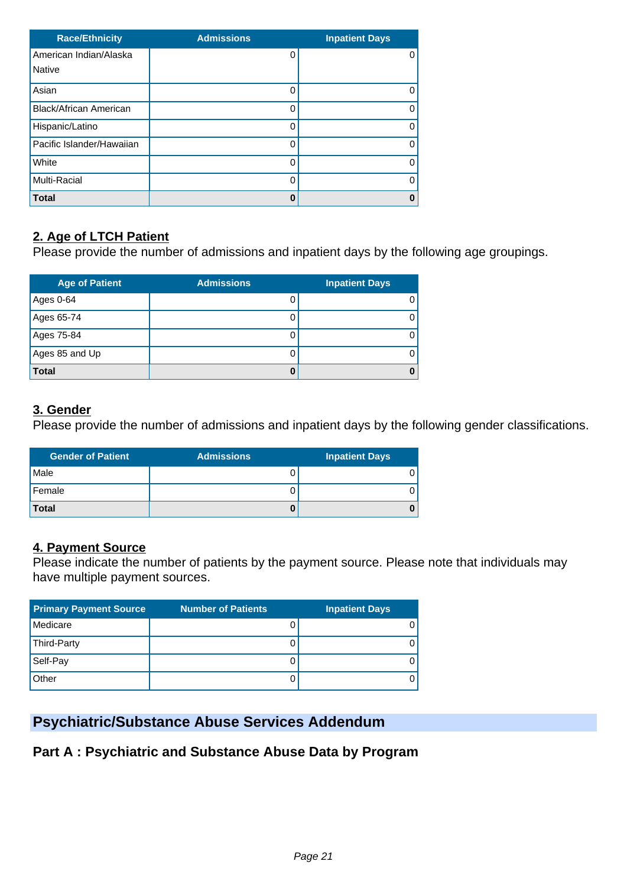| <b>Race/Ethnicity</b>         | <b>Admissions</b> | <b>Inpatient Days</b> |
|-------------------------------|-------------------|-----------------------|
| American Indian/Alaska        |                   | 0                     |
| <b>Native</b>                 |                   |                       |
| Asian                         |                   |                       |
| <b>Black/African American</b> |                   | Ω                     |
| Hispanic/Latino               |                   |                       |
| Pacific Islander/Hawaiian     |                   |                       |
| White                         |                   | Ω                     |
| Multi-Racial                  | C                 | Ω                     |
| <b>Total</b>                  | 0                 | Ω                     |

# **2. Age of LTCH Patient**

Please provide the number of admissions and inpatient days by the following age groupings.

| <b>Age of Patient</b> | <b>Admissions</b> | <b>Inpatient Days</b> |
|-----------------------|-------------------|-----------------------|
| Ages 0-64             | 0                 |                       |
| Ages 65-74            | 0                 |                       |
| Ages 75-84            | O                 |                       |
| Ages 85 and Up        | 0                 |                       |
| <b>Total</b>          |                   |                       |

### **3. Gender**

Please provide the number of admissions and inpatient days by the following gender classifications.

| <b>Gender of Patient</b> | <b>Admissions</b> | <b>Inpatient Days</b> |
|--------------------------|-------------------|-----------------------|
| Male                     |                   |                       |
| Female                   |                   |                       |
| <b>Total</b>             |                   |                       |

# **4. Payment Source**

Please indicate the number of patients by the payment source. Please note that individuals may have multiple payment sources.

| <b>Primary Payment Source</b> | <b>Number of Patients</b> | <b>Inpatient Days</b> |
|-------------------------------|---------------------------|-----------------------|
| Medicare                      |                           |                       |
| Third-Party                   |                           |                       |
| Self-Pay                      |                           |                       |
| Other                         | U                         |                       |

# **Psychiatric/Substance Abuse Services Addendum**

**Part A : Psychiatric and Substance Abuse Data by Program**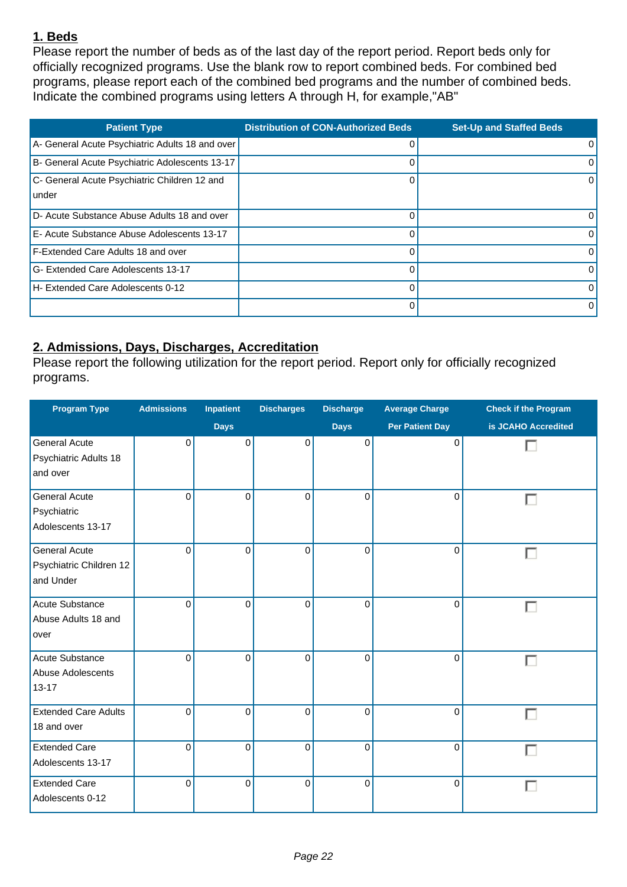# **1. Beds**

Please report the number of beds as of the last day of the report period. Report beds only for officially recognized programs. Use the blank row to report combined beds. For combined bed programs, please report each of the combined bed programs and the number of combined beds. Indicate the combined programs using letters A through H, for example,"AB"

| <b>Patient Type</b>                                   | <b>Distribution of CON-Authorized Beds</b> | <b>Set-Up and Staffed Beds</b> |
|-------------------------------------------------------|--------------------------------------------|--------------------------------|
| A- General Acute Psychiatric Adults 18 and over       | 0                                          | $\Omega$                       |
| B- General Acute Psychiatric Adolescents 13-17        | $\Omega$                                   | $\Omega$                       |
| C- General Acute Psychiatric Children 12 and<br>under | $\Omega$                                   | $\Omega$                       |
| D- Acute Substance Abuse Adults 18 and over           | 0                                          | $\Omega$                       |
| E- Acute Substance Abuse Adolescents 13-17            | $\Omega$                                   | $\Omega$                       |
| <b>F-Extended Care Adults 18 and over</b>             | $\Omega$                                   | $\Omega$                       |
| G- Extended Care Adolescents 13-17                    | $\Omega$                                   | $\Omega$                       |
| H- Extended Care Adolescents 0-12                     | $\Omega$                                   | $\Omega$                       |
|                                                       | $\Omega$                                   | $\Omega$                       |

# **2. Admissions, Days, Discharges, Accreditation**

Please report the following utilization for the report period. Report only for officially recognized programs.

| <b>Program Type</b>                                          | <b>Admissions</b> | Inpatient   | <b>Discharges</b> | <b>Discharge</b> | <b>Average Charge</b>  | <b>Check if the Program</b> |
|--------------------------------------------------------------|-------------------|-------------|-------------------|------------------|------------------------|-----------------------------|
|                                                              |                   | <b>Days</b> |                   | <b>Days</b>      | <b>Per Patient Day</b> | is JCAHO Accredited         |
| <b>General Acute</b><br>Psychiatric Adults 18<br>and over    | $\Omega$          | 0           | 0                 | 0                | 0                      |                             |
| <b>General Acute</b><br>Psychiatric<br>Adolescents 13-17     | $\mathbf{0}$      | $\Omega$    | $\Omega$          | $\Omega$         | $\Omega$               | □                           |
| <b>General Acute</b><br>Psychiatric Children 12<br>and Under | $\mathbf{0}$      | $\Omega$    | 0                 | $\mathbf 0$      | $\mathbf 0$            |                             |
| Acute Substance<br>Abuse Adults 18 and<br>over               | $\Omega$          | $\Omega$    | $\Omega$          | $\Omega$         | $\Omega$               |                             |
| Acute Substance<br>Abuse Adolescents<br>$13 - 17$            | $\Omega$          | $\Omega$    | $\overline{0}$    | $\mathbf 0$      | $\mathbf 0$            |                             |
| <b>Extended Care Adults</b><br>18 and over                   | $\mathbf{0}$      | $\Omega$    | $\Omega$          | $\Omega$         | $\mathbf 0$            |                             |
| <b>Extended Care</b><br>Adolescents 13-17                    | $\mathbf{0}$      | $\Omega$    | 0                 | $\mathbf 0$      | $\mathbf 0$            |                             |
| <b>Extended Care</b><br>Adolescents 0-12                     | 0                 | $\mathbf 0$ | 0                 | $\pmb{0}$        | 0                      |                             |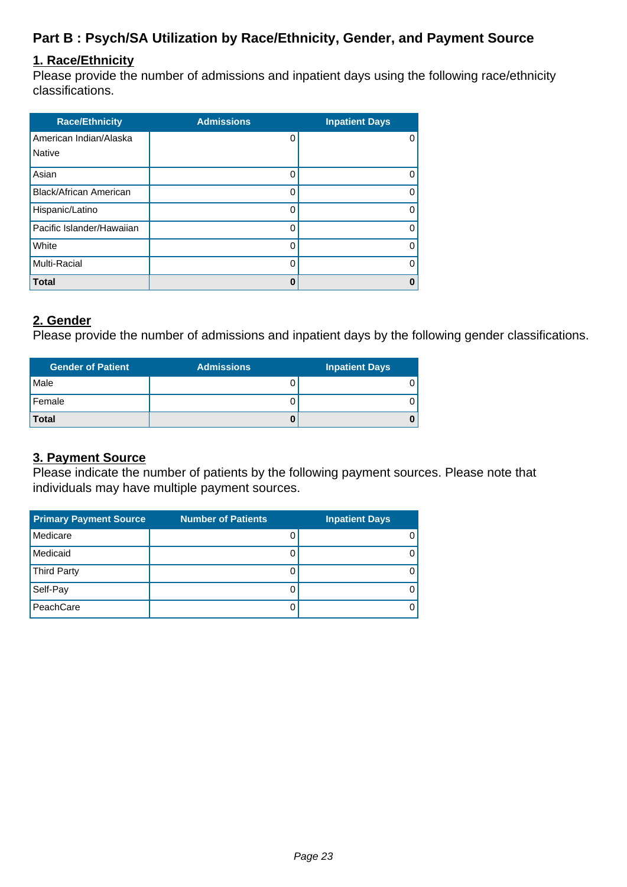# **Part B : Psych/SA Utilization by Race/Ethnicity, Gender, and Payment Source**

### **1. Race/Ethnicity**

Please provide the number of admissions and inpatient days using the following race/ethnicity classifications.

| <b>Race/Ethnicity</b>         | <b>Admissions</b> | <b>Inpatient Days</b> |
|-------------------------------|-------------------|-----------------------|
| American Indian/Alaska        | 0                 |                       |
| <b>Native</b>                 |                   |                       |
| Asian                         | 0                 |                       |
| <b>Black/African American</b> | 0                 |                       |
| Hispanic/Latino               | 0                 |                       |
| Pacific Islander/Hawaiian     | 0                 |                       |
| White                         | 0                 |                       |
| Multi-Racial                  | 0                 |                       |
| <b>Total</b>                  | 0                 | ŋ                     |

### **2. Gender**

Please provide the number of admissions and inpatient days by the following gender classifications.

| <b>Gender of Patient</b> | <b>Admissions</b> | <b>Inpatient Days</b> |
|--------------------------|-------------------|-----------------------|
| Male                     |                   |                       |
| Female                   |                   |                       |
| <b>Total</b>             |                   |                       |

### **3. Payment Source**

Please indicate the number of patients by the following payment sources. Please note that individuals may have multiple payment sources.

| <b>Primary Payment Source</b> | <b>Number of Patients</b> | <b>Inpatient Days</b> |
|-------------------------------|---------------------------|-----------------------|
| Medicare                      |                           |                       |
| Medicaid                      |                           |                       |
| <b>Third Party</b>            |                           |                       |
| Self-Pay                      |                           |                       |
| PeachCare                     |                           |                       |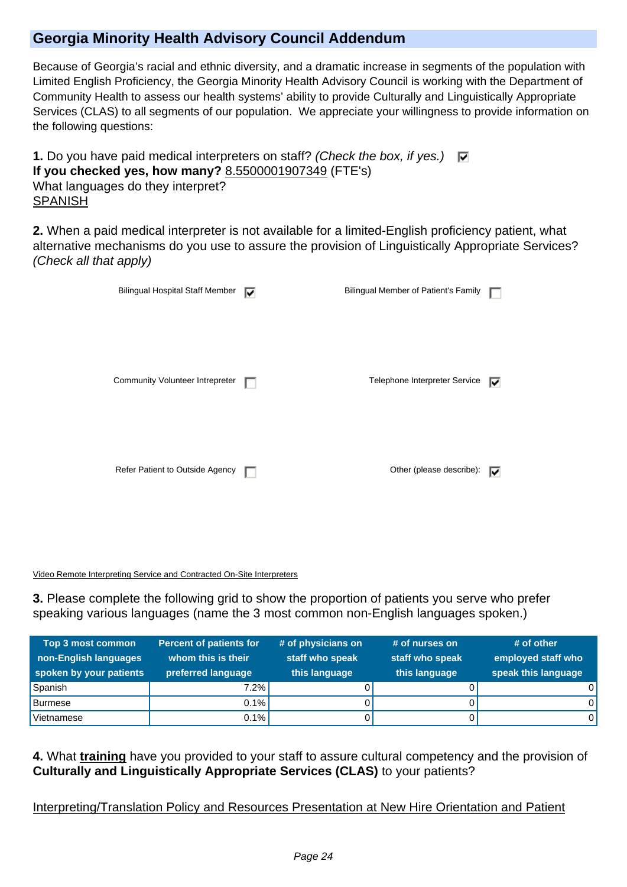# **Georgia Minority Health Advisory Council Addendum**

Because of Georgia's racial and ethnic diversity, and a dramatic increase in segments of the population with Limited English Proficiency, the Georgia Minority Health Advisory Council is working with the Department of Community Health to assess our health systems' ability to provide Culturally and Linguistically Appropriate Services (CLAS) to all segments of our population. We appreciate your willingness to provide information on the following questions:

**1.** Do you have paid medical interpreters on staff? (Check the box, if yes.)  $\Box$ **If you checked yes, how many?** 8.5500001907349 (FTE's) What languages do they interpret? SPANISH

**2.** When a paid medical interpreter is not available for a limited-English proficiency patient, what alternative mechanisms do you use to assure the provision of Linguistically Appropriate Services? (Check all that apply)

| <b>Bilingual Hospital Staff Member</b> | ⊮ | Bilingual Member of Patient's Family |    |
|----------------------------------------|---|--------------------------------------|----|
| Community Volunteer Intrepreter        |   | Telephone Interpreter Service        | 1Й |
| Refer Patient to Outside Agency        | ш | Other (please describe):             | ⊮  |

Video Remote Interpreting Service and Contracted On-Site Interpreters

**3.** Please complete the following grid to show the proportion of patients you serve who prefer speaking various languages (name the 3 most common non-English languages spoken.)

| Top 3 most common<br>non-English languages<br>spoken by your patients | <b>Percent of patients for</b><br>whom this is their<br>preferred language | # of physicians on<br>staff who speak<br>this language | # of nurses on<br>staff who speak<br>this language | $#$ of other<br>employed staff who<br>speak this language |
|-----------------------------------------------------------------------|----------------------------------------------------------------------------|--------------------------------------------------------|----------------------------------------------------|-----------------------------------------------------------|
| Spanish                                                               | $7.2\%$                                                                    |                                                        |                                                    | O l                                                       |
| <b>Burmese</b>                                                        | $0.1\%$                                                                    |                                                        |                                                    | 0١                                                        |
| Vietnamese                                                            | $0.1\%$                                                                    |                                                        |                                                    | 0١                                                        |

**4.** What **training** have you provided to your staff to assure cultural competency and the provision of **Culturally and Linguistically Appropriate Services (CLAS)** to your patients?

Interpreting/Translation Policy and Resources Presentation at New Hire Orientation and Patient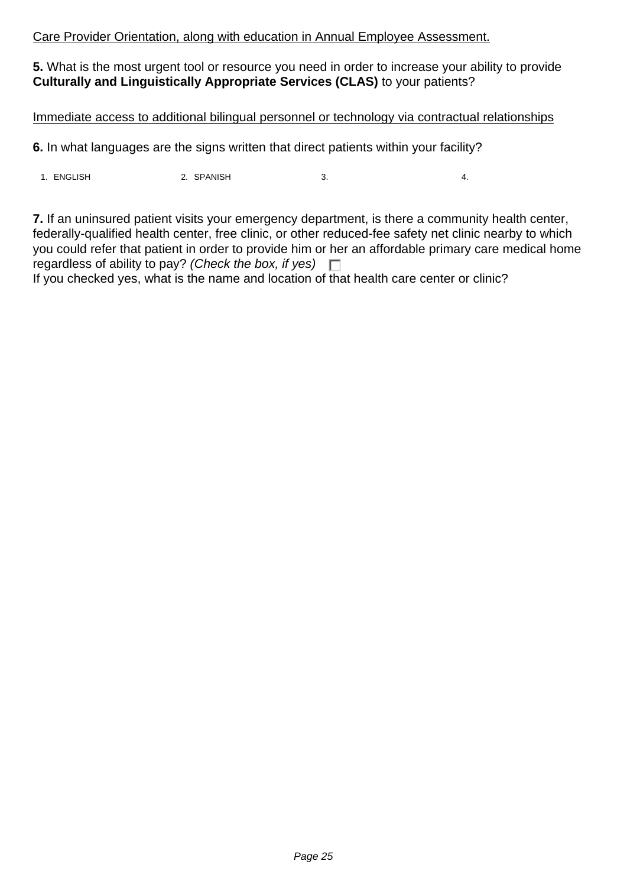### Care Provider Orientation, along with education in Annual Employee Assessment.

**5.** What is the most urgent tool or resource you need in order to increase your ability to provide **Culturally and Linguistically Appropriate Services (CLAS)** to your patients?

#### Immediate access to additional bilingual personnel or technology via contractual relationships

**6.** In what languages are the signs written that direct patients within your facility?

1. ENGLISH 2. SPANISH 3. 4.

**7.** If an uninsured patient visits your emergency department, is there a community health center, federally-qualified health center, free clinic, or other reduced-fee safety net clinic nearby to which you could refer that patient in order to provide him or her an affordable primary care medical home regardless of ability to pay? (Check the box, if yes)  $\Box$ 

If you checked yes, what is the name and location of that health care center or clinic?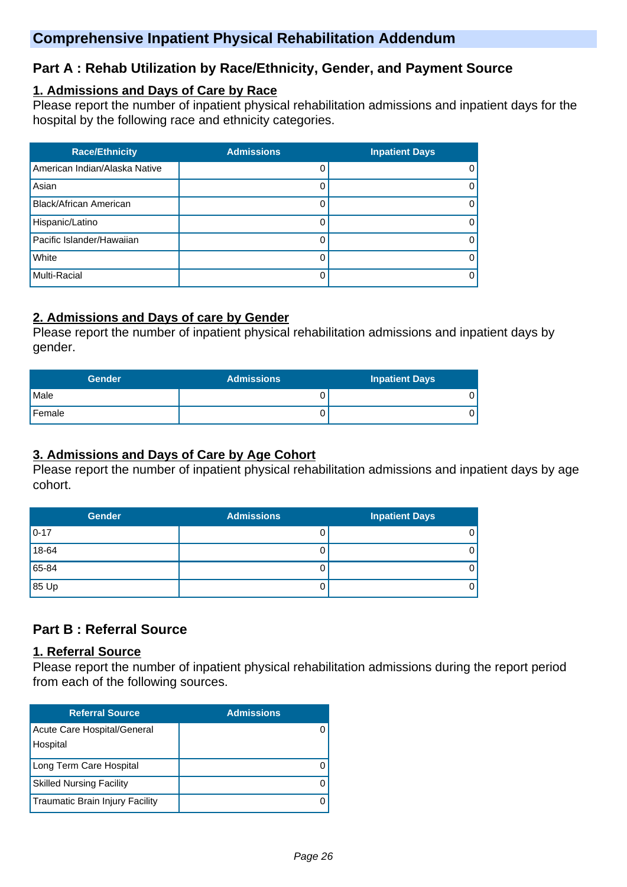# **Comprehensive Inpatient Physical Rehabilitation Addendum**

# **Part A : Rehab Utilization by Race/Ethnicity, Gender, and Payment Source**

### **1. Admissions and Days of Care by Race**

Please report the number of inpatient physical rehabilitation admissions and inpatient days for the hospital by the following race and ethnicity categories.

| <b>Race/Ethnicity</b>         | <b>Admissions</b> | <b>Inpatient Days</b> |
|-------------------------------|-------------------|-----------------------|
| American Indian/Alaska Native |                   | $\Omega$              |
| Asian                         |                   | 0                     |
| <b>Black/African American</b> |                   | $\Omega$              |
| Hispanic/Latino               |                   | $\Omega$              |
| Pacific Islander/Hawaiian     |                   | 0                     |
| White                         |                   | 0                     |
| Multi-Racial                  |                   | 0                     |

# **2. Admissions and Days of care by Gender**

Please report the number of inpatient physical rehabilitation admissions and inpatient days by gender.

| <b>Gender</b> | <b>Admissions</b> | <b>Inpatient Days</b> |
|---------------|-------------------|-----------------------|
| l Male        |                   |                       |
| l Female      |                   |                       |

# **3. Admissions and Days of Care by Age Cohort**

Please report the number of inpatient physical rehabilitation admissions and inpatient days by age cohort.

| <b>Gender</b> | <b>Admissions</b> | <b>Inpatient Days</b> |
|---------------|-------------------|-----------------------|
| $0 - 17$      |                   | 0                     |
| 18-64         |                   | 0                     |
| 65-84         |                   | 0                     |
| 85 Up         |                   | 0                     |

# **Part B : Referral Source**

#### **1. Referral Source**

Please report the number of inpatient physical rehabilitation admissions during the report period from each of the following sources.

| <b>Referral Source</b>                  | <b>Admissions</b> |
|-----------------------------------------|-------------------|
| Acute Care Hospital/General<br>Hospital |                   |
| Long Term Care Hospital                 |                   |
| <b>Skilled Nursing Facility</b>         |                   |
| Traumatic Brain Injury Facility         |                   |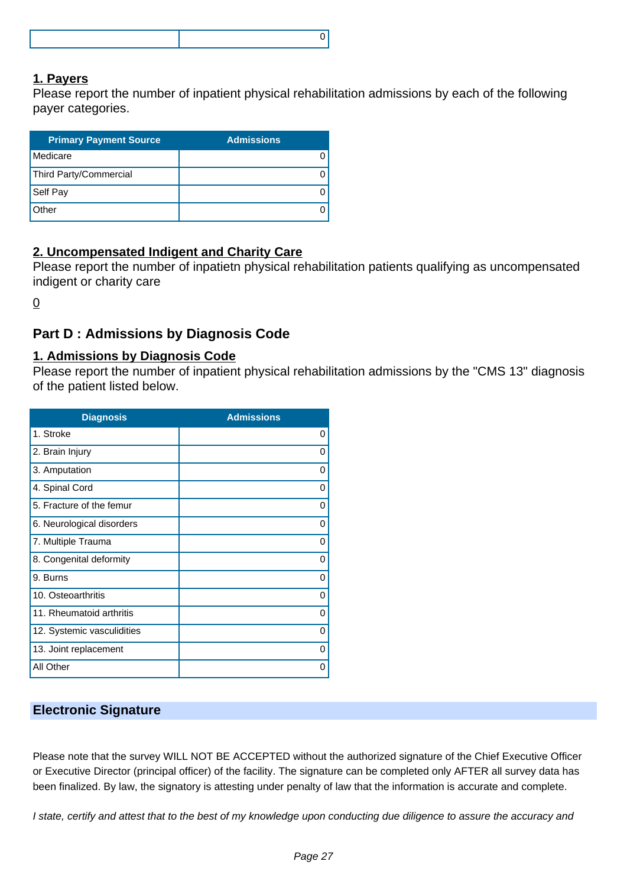### **1. Payers**

Please report the number of inpatient physical rehabilitation admissions by each of the following payer categories.

| <b>Primary Payment Source</b> | <b>Admissions</b> |
|-------------------------------|-------------------|
| Medicare                      |                   |
| Third Party/Commercial        |                   |
| Self Pay                      |                   |
| Other                         |                   |

# **2. Uncompensated Indigent and Charity Care**

Please report the number of inpatietn physical rehabilitation patients qualifying as uncompensated indigent or charity care

0

# **Part D : Admissions by Diagnosis Code**

#### **1. Admissions by Diagnosis Code**

Please report the number of inpatient physical rehabilitation admissions by the "CMS 13" diagnosis of the patient listed below.

| <b>Diagnosis</b>           | <b>Admissions</b> |
|----------------------------|-------------------|
| 1. Stroke                  | 0                 |
| 2. Brain Injury            | 0                 |
| 3. Amputation              | 0                 |
| 4. Spinal Cord             | 0                 |
| 5. Fracture of the femur   | 0                 |
| 6. Neurological disorders  | 0                 |
| 7. Multiple Trauma         | 0                 |
| 8. Congenital deformity    | 0                 |
| 9. Burns                   | 0                 |
| 10. Osteoarthritis         | $\Omega$          |
| 11. Rheumatoid arthritis   | 0                 |
| 12. Systemic vasculidities | $\Omega$          |
| 13. Joint replacement      | 0                 |
| All Other                  | 0                 |

#### **Electronic Signature**

Please note that the survey WILL NOT BE ACCEPTED without the authorized signature of the Chief Executive Officer or Executive Director (principal officer) of the facility. The signature can be completed only AFTER all survey data has been finalized. By law, the signatory is attesting under penalty of law that the information is accurate and complete.

I state, certify and attest that to the best of my knowledge upon conducting due diligence to assure the accuracy and